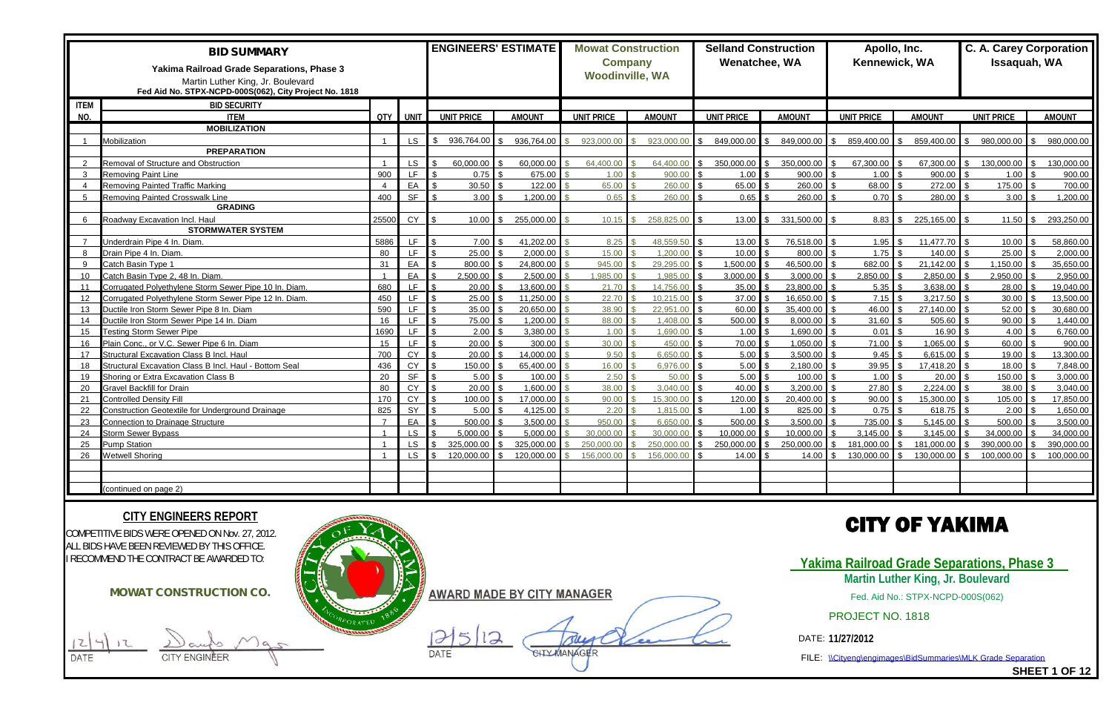|                 | <b>BID SUMMARY</b><br>Yakima Railroad Grade Separations, Phase 3<br>Martin Luther King, Jr. Boulevard |                |           | <b>ENGINEERS' ESTIMATE</b> |               | <b>Mowat Construction</b><br><b>Company</b><br><b>Woodinville, WA</b> |               | Wenatchee, WA     | <b>Selland Construction</b> | Apollo, Inc.<br>Kennewick, WA |               | Issaquah, WA      | <b>C. A. Carey Corporation</b> |
|-----------------|-------------------------------------------------------------------------------------------------------|----------------|-----------|----------------------------|---------------|-----------------------------------------------------------------------|---------------|-------------------|-----------------------------|-------------------------------|---------------|-------------------|--------------------------------|
|                 | Fed Aid No. STPX-NCPD-000S(062), City Project No. 1818                                                |                |           |                            |               |                                                                       |               |                   |                             |                               |               |                   |                                |
| <b>ITEM</b>     | <b>BID SECURITY</b>                                                                                   |                |           |                            |               |                                                                       |               |                   |                             |                               |               |                   |                                |
| NO.             | <b>ITEM</b>                                                                                           |                | QTY UNIT  | <b>UNIT PRICE</b>          | <b>AMOUNT</b> | <b>UNIT PRICE</b>                                                     | <b>AMOUNT</b> | <b>UNIT PRICE</b> | <b>AMOUNT</b>               | <b>UNIT PRICE</b>             | <b>AMOUNT</b> | <b>UNIT PRICE</b> | <b>AMOUNT</b>                  |
|                 | <b>MOBILIZATION</b>                                                                                   |                |           |                            |               |                                                                       |               |                   |                             |                               |               |                   |                                |
|                 | Mobilization                                                                                          |                | <b>LS</b> | 936,764.00                 | 936,764.00    | 923.000.00<br><b>Q</b>                                                | 923,000.00    | 849,000.00        | 849,000.00<br>¢             | 859,400.00 \$                 | 859,400.00    | 980,000.00        | 980,000.00                     |
|                 | <b>PREPARATION</b>                                                                                    |                |           |                            |               |                                                                       |               |                   |                             |                               |               |                   |                                |
| $\mathcal{P}$   | Removal of Structure and Obstruction                                                                  |                | LS.       | 60.000.00                  | 60,000.00     | 64,400.00                                                             | 64,400.00     | 350,000.00        | 350,000.00                  | 67,300.00                     | 67,300.00     | 130,000.00        | 130,000.00                     |
| $\mathbf{3}$    | Removing Paint Line                                                                                   | 900            | LF.       | 0.75                       | 675.00        | 1.00                                                                  | 900.00        | 1.00              | 900.00                      | $1.00$ S                      | 900.00        | 1.00              | 900.00                         |
| $\overline{4}$  | Removing Painted Traffic Marking                                                                      | $\overline{4}$ | EA        | 30.50                      | 122.00        | 65.00                                                                 | 260.00        | 65.00             | 260.00                      | 68.00 \$                      | 272.00        | 175.00            | 700.00                         |
| $5^{\circ}$     | <b>Removing Painted Crosswalk Line</b>                                                                | 400            | <b>SF</b> | 3.00                       | 1,200.00      | 0.65                                                                  | 260.00        | 0.65              | 260.00                      | 0.70                          | 280.00        | 3.00              | 1,200.00                       |
|                 | <b>GRADING</b>                                                                                        |                |           |                            |               |                                                                       |               |                   |                             |                               |               |                   |                                |
| 6               | Roadway Excavation Incl. Haul                                                                         | 25500          | CY        | 10.00                      | 255,000.00    | 10.15                                                                 | 258,825.00    | 13.00 $\sqrt{3}$  | 331,500.00                  | $8.83$ \$                     | 225,165.00    | 11.50             | 293,250.00<br>ፍ                |
|                 | <b>STORMWATER SYSTEM</b>                                                                              |                |           |                            |               |                                                                       |               |                   |                             |                               |               |                   |                                |
| $\overline{7}$  | Jnderdrain Pipe 4 In. Diam.                                                                           | 5886           | LF.       | 7.00                       | 41,202.00     | 8.25                                                                  | 48.559.50     | 13.00             | 76,518.00                   |                               | 11.477.70     | 10.00             | 58,860.00                      |
| 8               | Drain Pipe 4 In. Diam.                                                                                | 80             | LF.       | 25.00                      | 2,000.00      | 15.00                                                                 | 1.200.00      | 10.00             | 800.00                      |                               | 140.00        | 25.00             | 2.000.00                       |
| 9               | Catch Basin Type 1                                                                                    | 31             | EA        | 800.00                     | 24,800.00     | 945.00                                                                | 29,295.00     | 1,500.00          | 46,500.00                   | 682.00                        | 21,142.00     | 1,150.00          | 35,650.00                      |
| 10 <sup>°</sup> | Catch Basin Type 2, 48 In. Diam                                                                       | $\overline{1}$ | EA        | 2,500.00                   | 2,500.00      | 1,985.00                                                              | 1,985.00      | 3,000.00          | 3,000.00                    | $2,850.00$ \$                 | 2,850.00      | 2,950.00          | 2,950.00                       |
| 11              | Corrugated Polyethylene Storm Sewer Pipe 10 In. Diam.                                                 | 680            | LF.       | 20.00                      | 13,600.00     | 21.70                                                                 | 14.756.00     | 35.00             | 23,800.00                   | $5.35$ \ \$                   | 3,638.00      | 28.00             | 19,040.00                      |
| 12 <sup>2</sup> | Corrugated Polyethylene Storm Sewer Pipe 12 In. Diam.                                                 | 450            | LF.       | 25.00                      | 11,250.00     | 22.70                                                                 | 10.215.00     | 37.00             | 16,650.00                   | 7.15                          | 3,217.50      | 30.00             | 13,500.00                      |
| 13              | Ductile Iron Storm Sewer Pipe 8 In. Diam                                                              | 590            | LF.       | 35.00                      | 20,650.00     | 38.90                                                                 | 22,951.00     | 60.00             | 35,400.00                   | 46.00                         | 27,140.00     | 52.00             | 30,680.00                      |
| 14              | Ductile Iron Storm Sewer Pipe 14 In. Diam                                                             | 16             | LF.       | 75.00                      | 1,200.00      | 88.00                                                                 | 1,408.00      | 500.00            | 8,000.00                    | $31.60$ \$                    | 505.60        | 90.00             | 1,440.00                       |
| 15              | <b>Testing Storm Sewer Pipe</b>                                                                       | 1690           | LF.       | 2.00                       | 3,380.00      | 1.00                                                                  | 1.690.00      | 1.00              | 1.690.00                    | 0.01                          | 16.90         | 4.00              | 6.760.00                       |
| 16              | Plain Conc., or V.C. Sewer Pipe 6 In. Diam                                                            | 15             | LF.       | 20.00                      | 300.00        | 30.00                                                                 | 450.00        | 70.00             | 1,050.00                    | $71.00$ \$                    | 1.065.00      | 60.00             | 900.00                         |
| 17              | Structural Excavation Class B Incl. Haul                                                              | 700            | <b>CY</b> | 20.00                      | 14.000.00     | 9.50                                                                  | 6.650.00      | 5.00              | 3,500.00                    | 9.45                          | 6.615.00      | 19.00             | 13,300.00                      |
| 18              | Structural Excavation Class B Incl. Haul - Bottom Seal                                                | 436            | CY        | 150.00                     | 65,400.00     | 16.00                                                                 | 6,976.00      | 5.00              | 2,180.00                    | 39.95                         | 17,418.20     | 18.00             | 7,848.00                       |
| 19              | Shoring or Extra Excavation Class B                                                                   | 20             | <b>SF</b> | 5.00                       | 100.00        | 2.50                                                                  | 50.00         | 5.00              | 100.00                      |                               | 20.00         | 150.00            | 3.000.00                       |
| 20              | Gravel Backfill for Drain                                                                             | 80             | CY        | 20.00                      | 1.600.00      | 38.00                                                                 | 3.040.00      | 40.00             | 3,200.00                    | 27.80                         | 2.224.00      | 38.00             | 3.040.00                       |
| 21              | Controlled Density Fill                                                                               | 170            | <b>CY</b> | 100.00                     | 17,000.00     | 90.00                                                                 | 15,300,00     | 120.00            | 20,400.00                   | $90.00$ \$                    | 15,300.00     | 105.00            | 17,850.00                      |
| 22              | Construction Geotextile for Underground Drainage                                                      | 825            | SY        | 5.00                       | 4,125.00      | 2.20                                                                  | 1,815.00      | 1.00              | 825.00                      | $0.75$ \$                     | 618.75        | 2.00              | 1,650.00                       |
| 23              | <b>Connection to Drainage Structure</b>                                                               | $\overline{7}$ | EA        | 500.00                     | 3,500.00      | 950.00                                                                | 6.650.00      | 500.00            | 3,500.00                    | 735.00                        | 5.145.00      | 500.00            | 3.500.00                       |
| 24              | <b>Storm Sewer Bypass</b>                                                                             |                | <b>LS</b> | 5.000.00                   | 5,000.00      | 30,000,00                                                             | 30.000.00     | 10.000.00         | 10,000.00                   | 3,145.00                      | 3.145.00      | 34,000.00         | 34,000.00                      |
| 25              | <b>Pump Station</b>                                                                                   |                | <b>LS</b> | 325,000.00                 | 325,000.00    | 250.000.00                                                            | 250,000.00    | 250,000.00        | 250.000.00                  | 181,000.00                    | 181,000.00    | 390,000.00        | 390,000.00                     |
| 26              | <b>Netwell Shoring</b>                                                                                |                | <b>LS</b> | 120,000.00                 | 120,000.00    | 156.000.00                                                            | 156,000.00    | 14.00             | 14.00                       | 130,000.00 \$                 | 130,000.00    | 100,000.00        | 100.000.00                     |
|                 |                                                                                                       |                |           |                            |               |                                                                       |               |                   |                             |                               |               |                   |                                |
|                 |                                                                                                       |                |           |                            |               |                                                                       |               |                   |                             |                               |               |                   |                                |
|                 | (continued on page 2)                                                                                 |                |           |                            |               |                                                                       |               |                   |                             |                               |               |                   |                                |



## **CITY OF YAKIMA**

**Yakima Railroad Grade Separations, Phase 3 Martin Luther King, Jr. Boulevard**

### **CITY ENGINEERS REPORT**

Fed. Aid No.: STPX-NCPD-000S(062)

DATE: **11/27/2012**

**SHEET 1 OF 12**

PROJECT NO. 1818

FILE: \\Cityeng\engimages\BidSummaries\MLK Grade Separation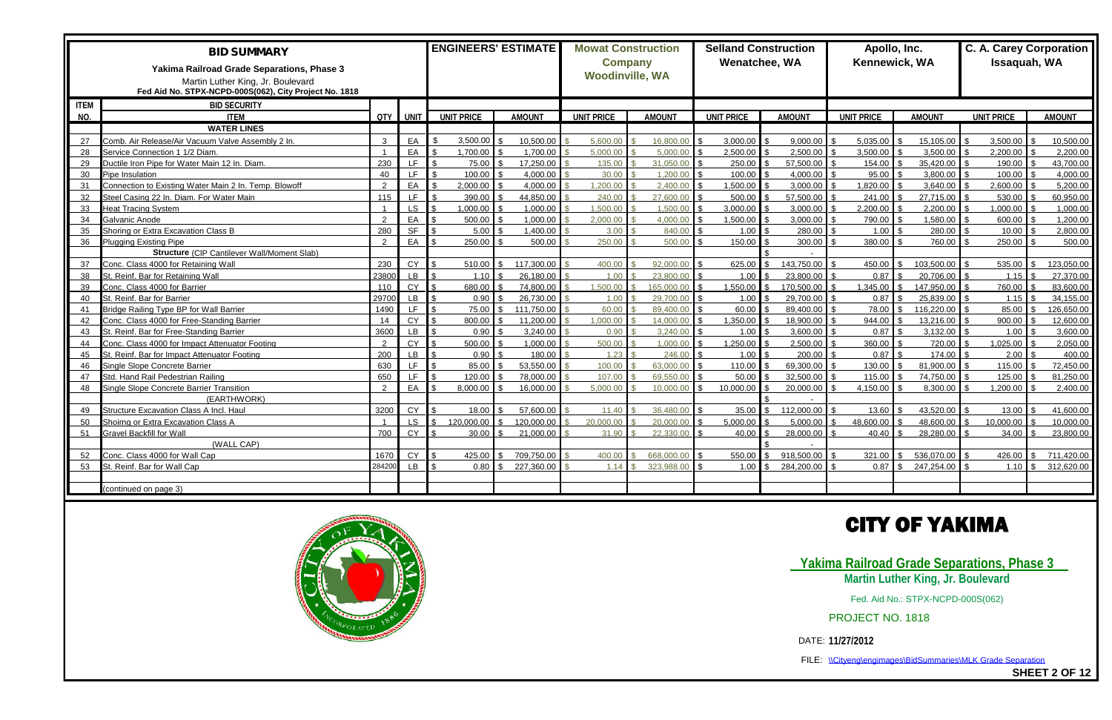|             | <b>BID SUMMARY</b><br>Yakima Railroad Grade Separations, Phase 3<br>Martin Luther King, Jr. Boulevard<br>Fed Aid No. STPX-NCPD-000S(062), City Project No. 1818 |                |           |                   |          | <b>ENGINEERS' ESTIMATE</b> | <b>Mowat Construction</b><br><b>Company</b><br><b>Woodinville, WA</b> |               |                   | <b>Selland Construction</b><br>Wenatchee, WA | Apollo, Inc.<br>Kennewick, WA |               | <b>C. A. Carey Corporation</b><br>Issaquah, WA |                            |
|-------------|-----------------------------------------------------------------------------------------------------------------------------------------------------------------|----------------|-----------|-------------------|----------|----------------------------|-----------------------------------------------------------------------|---------------|-------------------|----------------------------------------------|-------------------------------|---------------|------------------------------------------------|----------------------------|
| <b>ITEM</b> | <b>BID SECURITY</b>                                                                                                                                             |                |           |                   |          |                            |                                                                       |               |                   |                                              |                               |               |                                                |                            |
| NO.         | <b>ITEM</b>                                                                                                                                                     |                | QTY UNIT  | <b>UNIT PRICE</b> |          | <b>AMOUNT</b>              | <b>UNIT PRICE</b>                                                     | <b>AMOUNT</b> | <b>UNIT PRICE</b> | <b>AMOUNT</b>                                | <b>UNIT PRICE</b>             | <b>AMOUNT</b> | <b>UNIT PRICE</b>                              | <b>AMOUNT</b>              |
|             | <b>WATER LINES</b>                                                                                                                                              |                |           |                   |          |                            |                                                                       |               |                   |                                              |                               |               |                                                |                            |
| 27          | Comb. Air Release/Air Vacuum Valve Assembly 2 In.                                                                                                               | $\mathbf{3}$   | EA        | 3,500.00          |          | 10,500.00                  | 5,600.00                                                              | 16,800.00     | 3,000.00          | 9,000.00                                     | $5,035.00$ \$                 | 15,105.00     | 3,500.00                                       | 10,500.00                  |
| 28          | Service Connection 1 1/2 Diam.                                                                                                                                  |                | EA        | 1,700.00          |          | 1.700.00                   | 5.000.00                                                              | 5.000.00      | 2,500.00          | 2,500.00                                     | 3,500.00                      | 3.500.00      | 2,200.00                                       | 2.200.00                   |
| 29          | Ductile Iron Pipe for Water Main 12 In. Diam.                                                                                                                   | 230            | LF        |                   | 75.00    | 17,250.00                  | 135.00                                                                | 31.050.00     | 250.00            | 57,500.00                                    | 154.00                        | 35,420.00     | 190.00                                         | 43.700.00                  |
| 30          | Pipe Insulation                                                                                                                                                 | 40             | LF.       | 100.00            |          | 4,000.00                   | 30.00                                                                 | 1.200.00      | 100.00            | 4,000.00                                     | 95.00                         | 3,800.00      | 100.00                                         | 4.000.00                   |
| 31          | Connection to Existing Water Main 2 In. Temp. Blowoff                                                                                                           | $\mathcal{P}$  | EA        | 2,000.00          |          | 4.000.00                   | .200.00                                                               | 2.400.00      | .500.00           | 3,000.00                                     | 1,820.00                      | 3.640.00      | 2,600.00                                       | 5,200.00                   |
| 32          | Steel Casing 22 In. Diam. For Water Main                                                                                                                        | 115            | LF        | 390.00            |          | 44.850.00                  | 240.00                                                                | 27,600.00     | 500.00            | 57,500.00                                    | 241.00                        | 27.715.00     | 530.00                                         | 60.950.00                  |
| 33          | <b>Heat Tracing System</b>                                                                                                                                      | $\overline{1}$ | <b>LS</b> | 1,000.00          |          | 1,000.00                   | 1,500.00                                                              | 1.500.00      | 3,000.00          | 3,000.00                                     | 2,200.00                      | 2,200.00      | 1,000.00                                       | 1.000.00                   |
| 34          | Galvanic Anode                                                                                                                                                  | $\mathcal{D}$  | EA        | 500.00            |          | 1.000.00                   | 2.000.00                                                              | 4.000.00      | 1,500.00          | 3,000.00                                     | 790.00                        | 1,580.00      | 600.00                                         | 1,200.00                   |
| 35          | Shoring or Extra Excavation Class B                                                                                                                             | 280            | <b>SF</b> |                   | 5.00     | 1.400.00                   | 3.00                                                                  | 840.00        | 1.00              | 280.00                                       | 1.00                          | 280.00        | 10.00                                          | 2,800.00                   |
| 36          | <b>Plugging Existing Pipe</b>                                                                                                                                   | $\mathcal{P}$  | EA        | 250.00            |          | 500.00                     | 250.00                                                                | 500.00        | 150.00            | 300.00                                       | 380.00                        | 760.00        | 250.00                                         | 500.00                     |
|             | <b>Structure (CIP Cantilever Wall/Moment Slab)</b>                                                                                                              |                |           |                   |          |                            |                                                                       |               |                   |                                              |                               |               |                                                |                            |
| 37          | Conc. Class 4000 for Retaining Wall                                                                                                                             | 230            | <b>CY</b> |                   | 510.00   | 117,300.00                 | 400.00                                                                | 92,000.00     | 625.00            | 143,750.00                                   | $450.00$ \$                   | 103,500.00    | 535.00                                         | 123,050.00                 |
| 38          | St. Reinf. Bar for Retaining Wall                                                                                                                               | 23800          | <b>LB</b> |                   | 1.10     | 26,180.00                  | 1.00                                                                  | 23,800.00     | 1.00              | 23,800.00                                    | 0.87                          | 20,706.00     | 1.15                                           | 27,370.00                  |
| 39          | Conc. Class 4000 for Barrier                                                                                                                                    | 110            | <b>CY</b> | 680.00            |          | 74.800.00                  | .500.00                                                               | 165.000.00    | 1.550.00          | 170.500.00                                   | 1.345.00                      | 147.950.00    | 760.00                                         | 83.600.00                  |
| 40          | St. Reinf. Bar for Barrier                                                                                                                                      | 29700          | LB        |                   | 0.90     | 26,730.00                  | 1.00                                                                  | 29,700.00     | 1.00              | 29.700.00                                    | 0.87                          | 25,839.00     | 1.15                                           | 34,155.00                  |
| 41          | Bridge Railing Type BP for Wall Barrier                                                                                                                         | 1490           | LF.       |                   | 75.00    | 111.750.00                 | 60.00                                                                 | 89.400.00     | 60.00             | 89,400.00                                    | 78.00                         | 116.220.00    | 85.00                                          | 126,650.00                 |
| 42          | Conc. Class 4000 for Free-Standing Barrier                                                                                                                      | 14             | <b>CY</b> | 800.00            |          | 11,200.00                  | 1,000.00                                                              | 14,000.00     | 1,350.00          | 18,900.00                                    | 944.00                        | 13,216.00     | 900.00                                         | 12,600.00                  |
| 43          | St. Reinf. Bar for Free-Standing Barrier                                                                                                                        | 3600           | <b>LB</b> |                   | 0.90     | 3,240.00                   | 0.90                                                                  | 3,240.00      | 1.00              | 3,600.00                                     | $0.87$ \$                     | 3,132.00      | 1.00                                           | 3,600.00                   |
| 44          | Conc. Class 4000 for Impact Attenuator Footing                                                                                                                  | $\mathcal{P}$  | <b>CY</b> | 500.00            |          | 1.000.00                   | 500.00                                                                | 1.000.00      | .250.00           | 2,500.00                                     | 360.00                        | 720.00        | 1,025.00                                       | 2,050.00                   |
| 45          | St. Reinf. Bar for Impact Attenuator Footing                                                                                                                    | 200            | <b>LB</b> |                   | 0.90     | 180.00                     | 1.23                                                                  | 246.00        | 1.00              | 200.00                                       | 0.87                          | 174.00        | 2.00                                           | 400.00                     |
| 46          | Single Slope Concrete Barrier                                                                                                                                   | 630            | LF.       |                   | 85.00    | 53,550.00                  | 100.00                                                                | 63.000.00     | 110.00            | 69,300.00                                    | 130.00                        | 81,900.00     | 115.00                                         | 72.450.00                  |
| 47          | Std. Hand Rail Pedestrian Railing                                                                                                                               | 650            | LF.       | 120.00            |          | 78,000.00                  | 107.00                                                                | 69 550 00     | 50.00             | 32,500.00                                    | 115.00                        | 74.750.00     | 125.00                                         | 81.250.00                  |
| 48          | Single Slope Concrete Barrier Transition                                                                                                                        | $\mathcal{P}$  | EA        | 8,000.00          |          | 16.000.00                  | 5.000.00                                                              | 10.000.00     | 10.000.00         | 20.000.00                                    | 4,150.00                      | 8.300.00      | 1,200.00                                       | 2.400.00                   |
|             | (EARTHWORK)                                                                                                                                                     |                |           |                   |          |                            |                                                                       |               |                   |                                              |                               |               |                                                |                            |
| 49          | Structure Excavation Class A Incl. Haul                                                                                                                         | 3200           | CY        |                   | 18.00    | 57.600.00                  | 11.40                                                                 | 36,480.00     | 35.00             | 112,000,00                                   | 13.60                         | 43.520.00     | 13.00                                          | 41.600.00                  |
| 50          | Shoirng or Extra Excavation Class A                                                                                                                             |                | LS.       | 120,000.00        |          | 120,000.00                 | 20.000.00                                                             | 20.000.00     | 5,000.00          | 5,000.00                                     | 48,600.00                     | 48,600.00     | 10,000.00                                      | 10.000.00                  |
| 51          | <b>Gravel Backfill for Wall</b>                                                                                                                                 | 700            | CY        |                   | 30.00    | 21,000.00                  | 31.90                                                                 | 22,330,00     | 40.00             | 28,000.00                                    | 40.40                         | 28,280.00     | 34.00                                          | 23,800.00                  |
|             | (WALL CAP)                                                                                                                                                      |                |           |                   |          |                            |                                                                       |               |                   |                                              |                               |               |                                                |                            |
| 52          | Conc. Class 4000 for Wall Cap                                                                                                                                   | 1670           | <b>CY</b> |                   | 425.00   | 709,750.00                 | 400.00                                                                | 668,000.00    | 550.00            | 918,500.00                                   | $321.00$ \$                   | 536.070.00    | 426.00                                         | 711,420.00                 |
| 53          | St. Reinf. Bar for Wall Cap                                                                                                                                     | 284200         | LB        |                   | $0.80$ S | 227,360.00                 | 1.14                                                                  | 323.988.00    | 1.00              | 284,200.00                                   |                               | 247.254.00    | 1.10                                           | 312,620.00<br>$\mathbf{R}$ |
|             |                                                                                                                                                                 |                |           |                   |          |                            |                                                                       |               |                   |                                              |                               |               |                                                |                            |
|             | (continued on page 3)                                                                                                                                           |                |           |                   |          |                            |                                                                       |               |                   |                                              |                               |               |                                                |                            |





FILE: \\Cityeng\engimages\BidSummaries\MLK Grade Separation

**SHEET 2 OF 12**

Fed. Aid No.: STPX-NCPD-000S(062)

PROJECT NO. 1818

**Martin Luther King, Jr. Boulevard Yakima Railroad Grade Separations, Phase 3**

## **CITY OF YAKIMA**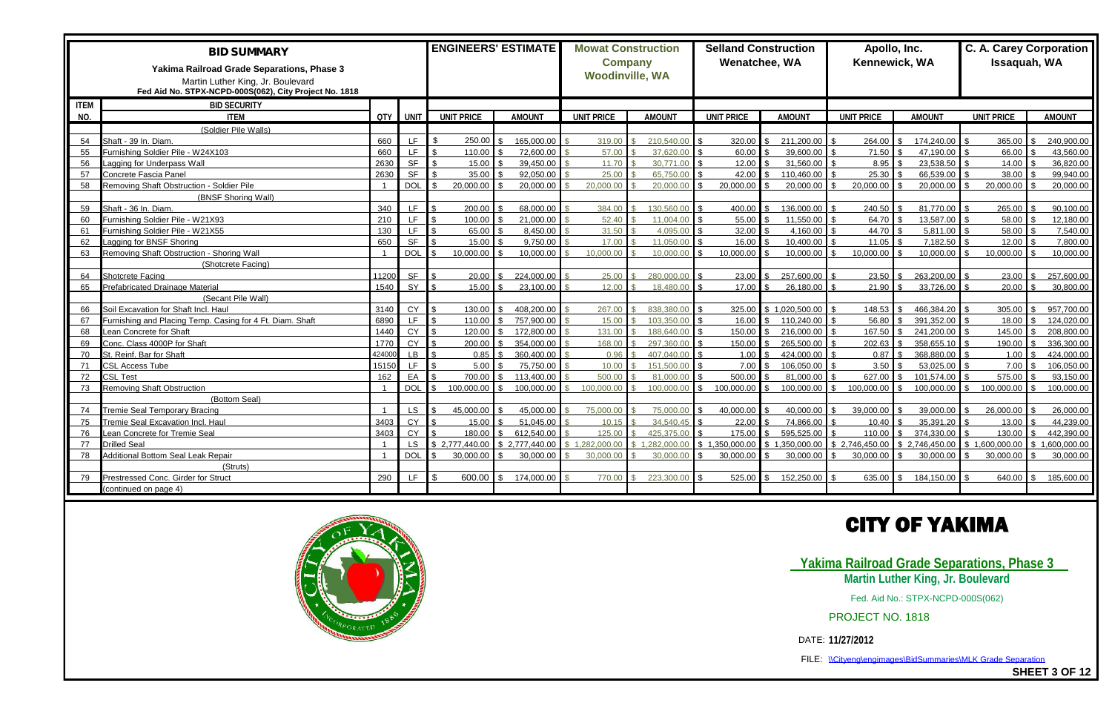|             | <b>BID SUMMARY</b><br>Yakima Railroad Grade Separations, Phase 3<br>Martin Luther King, Jr. Boulevard<br>Fed Aid No. STPX-NCPD-000S(062), City Project No. 1818 |        |            | <b>ENGINEERS' ESTIMATE</b> |               |                   | <b>Mowat Construction</b><br><b>Company</b><br><b>Woodinville, WA</b> |                   | <b>Selland Construction</b><br>Wenatchee, WA | Apollo, Inc.<br>Kennewick, WA |               | Issaquah, WA      | <b>C. A. Carey Corporation</b> |
|-------------|-----------------------------------------------------------------------------------------------------------------------------------------------------------------|--------|------------|----------------------------|---------------|-------------------|-----------------------------------------------------------------------|-------------------|----------------------------------------------|-------------------------------|---------------|-------------------|--------------------------------|
| <b>ITEM</b> | <b>BID SECURITY</b>                                                                                                                                             |        |            |                            |               |                   |                                                                       |                   |                                              |                               |               |                   |                                |
| NO.         | <b>ITEM</b>                                                                                                                                                     |        | QTY I UNIT | <b>UNIT PRICE</b>          | <b>AMOUNT</b> | <b>UNIT PRICE</b> | <b>AMOUNT</b>                                                         | <b>UNIT PRICE</b> | <b>AMOUNT</b>                                | <b>UNIT PRICE</b>             | <b>AMOUNT</b> | <b>UNIT PRICE</b> | <b>AMOUNT</b>                  |
|             | (Soldier Pile Walls)                                                                                                                                            |        |            |                            |               |                   |                                                                       |                   |                                              |                               |               |                   |                                |
| 54          | Shaft - 39 In. Diam.                                                                                                                                            | 660    | LF.        | 250.00                     | 165,000.00    | 319.00            | 210,540.00                                                            | 320.00            | 211,200.00                                   | $264.00$ \$                   | 174,240.00    | 365.00            | 240,900.00                     |
| 55          | Turnishing Soldier Pile - W24X103                                                                                                                               | 660    | LF.        | 110.00                     | 72,600.00     | 57.00             | 37.620.00                                                             | 60.00             | 39,600.00                                    | 71.50                         | 47.190.00     | 66.00             | 43,560.00                      |
| 56          | agging for Underpass Wall                                                                                                                                       | 2630   | <b>SF</b>  | 15.00                      | 39,450.00     | 11.70             | 30.771.00                                                             | 12.00             | 31,560.00                                    | 8.95                          | 23.538.50     | 14.00             | 36,820.00                      |
| 57          | Concrete Fascia Panel                                                                                                                                           | 2630   | <b>SF</b>  | 35.00                      | 92,050.00     | 25.00             | 65,750.00                                                             | 42.00             | 110,460.00                                   | 25.30                         | 66,539.00     | 38.00             | 99,940.00                      |
| 58          | Removing Shaft Obstruction - Soldier Pile                                                                                                                       |        | <b>DOL</b> | 20,000.00                  | 20,000.00     | 20,000.00         | 20,000.00                                                             | 20.000.00         | 20.000.00                                    | 20,000.00                     | 20,000.00     | 20,000.00         | 20,000,00                      |
|             | (BNSF Shoring Wall)                                                                                                                                             |        |            |                            |               |                   |                                                                       |                   |                                              |                               |               |                   |                                |
| 59          | Shaft - 36 In. Diam.                                                                                                                                            | 340    | LF.        | 200.00                     | 68,000.00     | 384.00            | 130,560.00                                                            | 400.00            | ∣ \$∖<br>136,000.00                          | 240.50                        | 81.770.00     | 265.00            | 90,100.00                      |
| 60          | Furnishing Soldier Pile - W21X93                                                                                                                                | 210    | LF.        | 100.00                     | 21,000.00     | 52.40             | 11.004.00                                                             | 55.00             | 11,550.00                                    | 64.70                         | 13,587.00     | 58.00             | 12,180.00                      |
| 61          | urnishing Soldier Pile - W21X55                                                                                                                                 | 130    | LF.        | 65.00                      | 8.450.00      | 31.50             | 4.095.00                                                              | 32.00             | 4.160.00                                     | 44.70                         | 5.811.00      | 58.00             | 7.540.00                       |
| 62          | agging for BNSF Shoring                                                                                                                                         | 650    | <b>SF</b>  | 15.00                      | 9.750.00      | 17.00             | 11.050.00                                                             | 16.00             | 10,400.00                                    | 11.05                         | 7,182.50      | 12.00             | 7,800.00                       |
| 63          | Removing Shaft Obstruction - Shoring Wall                                                                                                                       |        | <b>DOL</b> | 10.000.00                  | 10.000.00     | 10.000.00         | 10.000.00                                                             | 10,000.00         | 10.000.00                                    | 10,000.00                     | 10.000.00     | 10,000.00         | 10.000.00                      |
|             | (Shotcrete Facing)                                                                                                                                              |        |            |                            |               |                   |                                                                       |                   |                                              |                               |               |                   |                                |
| 64          | Shotcrete Facing                                                                                                                                                | 11200  | <b>SF</b>  | 20.00                      | 224,000.00    | 25.00             | 280,000.00                                                            | 23.00             | 257,600.00                                   |                               | 263,200.00    | 23.00             | 257,600.00                     |
| 65          | Prefabricated Drainage Material                                                                                                                                 | 1540   | SY         | 15.00                      | 23,100.00     | 12.00             | 18.480.00                                                             | 17.00             | 26,180.00                                    | 21.90                         | 33,726.00     | 20.00             | 30.800.00                      |
|             | (Secant Pile Wall)                                                                                                                                              |        |            |                            |               |                   |                                                                       |                   |                                              |                               |               |                   |                                |
| 66          | Soil Excavation for Shaft Incl. Haul                                                                                                                            | 3140   | <b>CY</b>  | 130.00                     | 408,200.00    | 267.00            | 838,380.00                                                            | 325.00            | \$1,020,500.00                               | 148.53                        | 466,384.20    | 305.00            | 957,700.00                     |
| 67          | Furnishing and Placing Temp. Casing for 4 Ft. Diam. Shaft                                                                                                       | 6890   | LF.        | 110.00                     | 757.900.00    | 15.00             | 103.350.00                                                            | 16.00             | 110.240.00                                   | 56.80                         | 391.352.00    | 18.00             | 124,020.00                     |
| 68          | Lean Concrete for Shaft                                                                                                                                         | 1440   | CY         | 120.00                     | 172,800.00    | 131.00            | 188,640.00                                                            | 150.00            | 216,000.00<br>$\mathbf{R}$                   | $167.50$ \$                   | 241.200.00    | 145.00            | 208,800.00                     |
| 69          | Conc. Class 4000P for Shaft                                                                                                                                     | 1770   | <b>CY</b>  | 200.00                     | 354,000.00    | 168.00            | 297,360.00                                                            | 150.00            | 265.500.00                                   | 202.63                        | 358,655.10    | 190.00            | 336,300.00                     |
| 70          | St. Reinf. Bar for Shaft                                                                                                                                        | 424000 | <b>LB</b>  | 0.85                       | 360.400.00    | 0.96              | 407.040.00                                                            | 1.00.             | 424,000.00                                   | 0.87                          | 368.880.00    | 1.00              | 424,000.00                     |
| 71          | <b>CSL Access Tube</b>                                                                                                                                          | 15150  | LF.        | 5.00                       | 75,750.00     | 10.00             | 151,500.00                                                            | 7.00              | 106,050.00                                   |                               | 53,025.00     | 7.00              | 106,050.00                     |
| 72          | <b>SL Test</b>                                                                                                                                                  | 162    | EA         | 700.00                     | 113,400.00    | 500.00            | 81,000.00                                                             | 500.00            | 81.000.00                                    | 627.00                        | 101.574.00    | 575.00            | 93,150.00                      |
| 73          | Removing Shaft Obstruction                                                                                                                                      |        | <b>DOL</b> | 100.000.00                 | 100.000.00    | 100.000.00        | 100.000.00                                                            | 100.000.00        | 100.000.00                                   | 100.000.00                    | 100.000.00    | 100.000.00        | 100.000.00                     |
|             | (Bottom Seal)                                                                                                                                                   |        |            |                            |               |                   |                                                                       |                   |                                              |                               |               |                   |                                |
| 74          | <b>Tremie Seal Temporary Bracing</b>                                                                                                                            |        | LS.        | 45,000.00                  | 45.000.00     | 75.000.00         | 75,000.00                                                             | 40,000.00         | 40.000.00                                    | 39,000.00                     | 39,000,00     | 26,000.00         | 26,000.00                      |
| 75          | Fremie Seal Excavation Incl. Haul                                                                                                                               | 3403   | CY         | 15.00                      | 51,045.00     | 10.15             | 34.540.45                                                             | 22.00             | 74,866.00                                    | 10.40                         | 35.391.20     | 13.00             | 44.239.00                      |
| 76          | ean Concrete for Tremie Seal                                                                                                                                    | 3403   | <b>CY</b>  | 180.00                     | 612.540.00    | 125.00            | 425,375.00                                                            | 175.00            | 595,525.00                                   | 110.00                        | 374,330.00    | 130.00            | 442,390.00                     |
| 77          | Drilled Seal                                                                                                                                                    |        | <b>LS</b>  | 2.777.440.00               | 2,777,440.00  | 1 282 000 00      | 1.282.000.00                                                          | \$1,350,000.00    | 1,350,000.00                                 | 2,746,450.00                  | 2,746,450.00  | \$1,600,000.00    | 1.600.000.00                   |
| 78          | Additional Bottom Seal Leak Repair                                                                                                                              |        | <b>DOL</b> | 30,000.00                  | 30,000.00     | 30.000.00         | 30.000.00                                                             | 30,000.00         | 30.000.00                                    | 30,000.00                     | 30,000.00     | 30,000.00         | 30.000.00                      |
|             | (Struts)                                                                                                                                                        |        |            |                            |               |                   |                                                                       |                   |                                              |                               |               |                   |                                |
| 79          | Prestressed Conc. Girder for Struct                                                                                                                             | 290    | LE.        | 600.00                     | 174,000.00    | 770.00            | 223,300.00                                                            | 525.00            | 152,250.00                                   | 635.00                        | 184,150.00    | 640.00            | 185,600.0                      |
|             | (continued on page 4)                                                                                                                                           |        |            |                            |               |                   |                                                                       |                   |                                              |                               |               |                   |                                |





FILE: \\Cityeng\engimages\BidSummaries\MLK Grade Separation

**SHEET 3 OF 12**

## **CITY OF YAKIMA**

**Yakima Railroad Grade Separations, Phase 3 Martin Luther King, Jr. Boulevard**

Fed. Aid No.: STPX-NCPD-000S(062)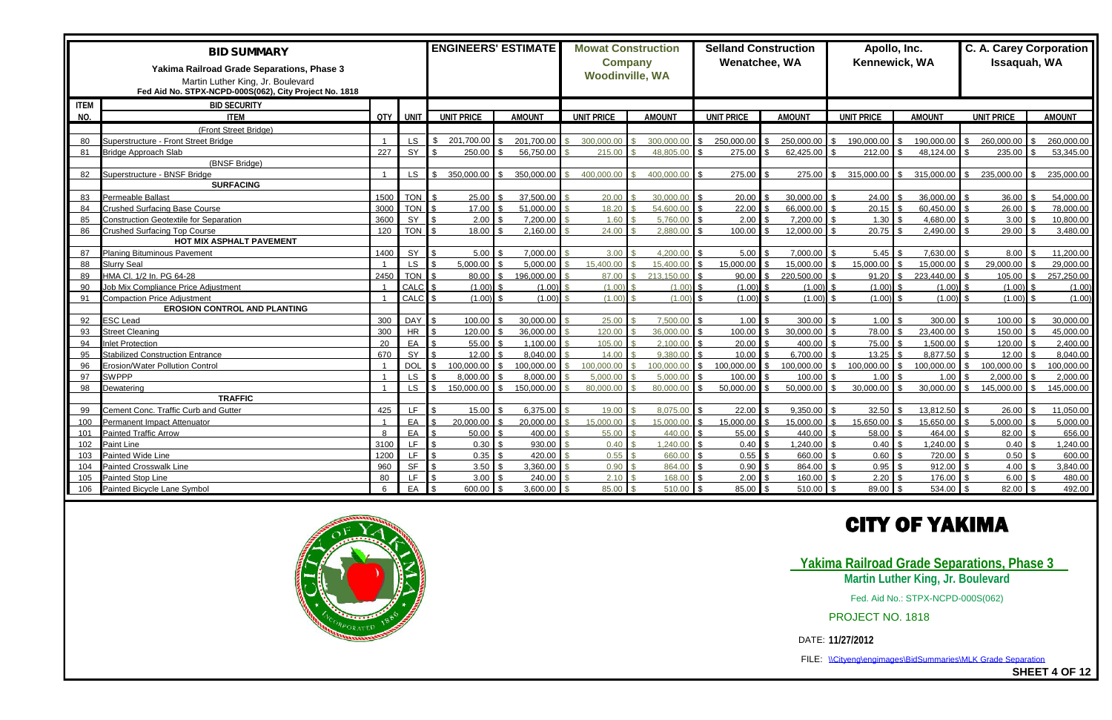|             | <b>BID SUMMARY</b><br>Yakima Railroad Grade Separations, Phase 3<br>Martin Luther King, Jr. Boulevard<br>Fed Aid No. STPX-NCPD-000S(062), City Project No. 1818 |              |              | <b>ENGINEERS' ESTIMATE</b> |          |               | <b>Mowat Construction</b><br><b>Company</b><br><b>Woodinville, WA</b> |               |                   | <b>Selland Construction</b><br>Wenatchee, WA | Apollo, Inc.<br>Kennewick, WA |               | Issaquah, WA      | <b>C. A. Carey Corporation</b> |
|-------------|-----------------------------------------------------------------------------------------------------------------------------------------------------------------|--------------|--------------|----------------------------|----------|---------------|-----------------------------------------------------------------------|---------------|-------------------|----------------------------------------------|-------------------------------|---------------|-------------------|--------------------------------|
| <b>ITEM</b> | <b>BID SECURITY</b>                                                                                                                                             |              |              |                            |          |               |                                                                       |               |                   |                                              |                               |               |                   |                                |
| NO.         | <b>ITEM</b>                                                                                                                                                     |              | $QTY$ $UNIT$ | <b>UNIT PRICE</b>          |          | <b>AMOUNT</b> | <b>UNIT PRICE</b>                                                     | <b>AMOUNT</b> | <b>UNIT PRICE</b> | <b>AMOUNT</b>                                | <b>UNIT PRICE</b>             | <b>AMOUNT</b> | <b>UNIT PRICE</b> | <b>AMOUNT</b>                  |
|             | (Front Street Bridge)                                                                                                                                           |              |              |                            |          |               |                                                                       |               |                   |                                              |                               |               |                   |                                |
| 80          | Superstructure - Front Street Bridge                                                                                                                            |              | <b>LS</b>    | 201,700.00                 |          | 201.700.00    | 300,000,00                                                            | 300.000.00    | 250,000.00        | 250,000.00                                   | 190,000.00                    | 190.000.00    | 260,000.00        | 260,000.00                     |
| 81          | <b>Bridge Approach Slab</b>                                                                                                                                     | 227          | SY           | 250.00                     |          | 56.750.00     | 215.00                                                                | 48.805.00     | 275.00            | 62.425.00                                    | $212.00$ \ \$                 | 48.124.00     | 235.00            | 53,345.00                      |
|             | (BNSF Bridge)                                                                                                                                                   |              |              |                            |          |               |                                                                       |               |                   |                                              |                               |               |                   |                                |
| 82          | Superstructure - BNSF Bridge                                                                                                                                    |              | LS.          | 350.000.00                 |          | 350,000,00    | 400.000.00                                                            | 400.000.00    | 275.00            | 275.00                                       | $315,000.00$ \$               | 315,000.00    | 235,000.00        | 235,000.00                     |
|             | <b>SURFACING</b>                                                                                                                                                |              |              |                            |          |               |                                                                       |               |                   |                                              |                               |               |                   |                                |
| 83          | Permeable Ballast                                                                                                                                               | 1500         | <b>TON</b>   | 25.00                      |          | 37.500.00     | 20.00                                                                 | 30.000.00     | 20.00             | 30,000.00                                    | 24.00                         | 36,000.00     | 36.00             | 54,000.00                      |
| 84          | <b>Crushed Surfacing Base Course</b>                                                                                                                            | 3000         | <b>TON</b>   | 17.00                      |          | 51,000.00     | 18.20                                                                 | 54,600.00     | 22.00             | 66,000.00                                    | $20.15$ \$                    | 60,450.00     | 26.00             | 78,000.00                      |
| 85          | <b>Construction Geotextile for Separation</b>                                                                                                                   | 3600         | SY           | 2.00                       |          | 7,200.00      | 1.60                                                                  | 5.760.00      | 2.00              | 7,200.00                                     | 1.30                          | 4,680.00      | 3.00              | 10,800.00                      |
| 86          | Crushed Surfacing Top Course                                                                                                                                    | 120          | <b>TON</b>   | 18.00                      |          | 2.160.00      | 24.00                                                                 | 2.880.00      | 100.00            | 12.000.00                                    | 20.75                         | 2.490.00      | 29.00             | 3,480.00                       |
|             | <b>HOT MIX ASPHALT PAVEMENT</b>                                                                                                                                 |              |              |                            |          |               |                                                                       |               |                   |                                              |                               |               |                   |                                |
| 87          | <b>Planing Bituminous Pavement</b>                                                                                                                              | 1400         | SY           | 5.00                       |          | 7,000.00      | 3.00                                                                  | 4,200.00      | 5.00              | 7,000.00                                     | $5.45$ \ \ \$                 | 7,630.00      | 8.00              | 11,200.00                      |
| 88          | <b>Slurry Seal</b>                                                                                                                                              |              | <b>LS</b>    | 5,000.00                   |          | 5.000.00      | 15,400.00                                                             | 15,400.00     | 15,000.00         | 15,000.00                                    | 15,000.00                     | 15,000.00     | 29,000.00         | 29,000.00                      |
| 89          | HMA Cl. 1/2 In. PG 64-28                                                                                                                                        | 2450         | <b>TON</b>   | 80.00                      | <b>¢</b> | 196.000.00    | 87.00                                                                 | 213,150.00    | 90.00             | 220,500.00<br>$\mathbb{S}$                   | $91.20$ \$                    | 223,440.00    | 105.00            | 257,250.00<br>¢                |
| 90          | Job Mix Compliance Price Adjustment                                                                                                                             |              | CALC         | (1.00)                     |          | (1.00)        | (1.00)                                                                | (1.00)        | (1.00)            | (1.00)                                       | (1.00)                        | (1.00)        | (1.00)            | (1.00)                         |
| 91          | <b>Compaction Price Adjustment</b>                                                                                                                              |              | CALC         | (1.00)                     |          | (1.00)        | (1.00)                                                                | (1.00)        | (1.00)            | (1.00)                                       | (1.00)                        | (1.00)        | (1.00)            | (1.00)                         |
|             | <b>EROSION CONTROL AND PLANTING</b>                                                                                                                             |              |              |                            |          |               |                                                                       |               |                   |                                              |                               |               |                   |                                |
| 92          | ESC Lead                                                                                                                                                        | 300          | DAY          | 100.00                     |          | 30,000.00     | 25.00                                                                 | 7,500.00      | 1.00              | 300.00                                       | $1.00$ \$                     | 300.00        | 100.00            | 30,000.00                      |
| 93          | <b>Street Cleaning</b>                                                                                                                                          | 300          | <b>HR</b>    | 120.00                     |          | 36,000.00     | 120.00                                                                | 36,000,00     | 100.00            | 30.000.00                                    | 78.00                         | 23,400.00     | 150.00            | 45,000.00                      |
| 94          | Inlet Protection                                                                                                                                                | 20           | EA           | 55.00                      |          | 1.100.00      | 105.00                                                                | 2.100.00      | 20.00             | 400.00                                       | 75.00 \$                      | 1.500.00      | 120.00            | 2,400.00                       |
| 95          | <b>Stabilized Construction Entrance</b>                                                                                                                         | 670          | SY           | 12.00                      |          | 8.040.00      | 14.00                                                                 | 9.380.00      | 10.00             | 6.700.00                                     | 13.25                         | 8.877.50      | 12.00             | 8.040.00                       |
| 96          | Erosion/Water Pollution Control                                                                                                                                 |              | <b>DOL</b>   | 100.000.00                 |          | 100,000.00    | 100.000.00                                                            | 100.000.00    | 100,000.00        | 00.000.00                                    | 100,000.00                    | 100.000.00    | 100,000.00        | 100,000.00                     |
| 97          | <b>SWPPP</b>                                                                                                                                                    |              | <b>LS</b>    | 8,000.00                   |          | 8.000.00      | 5.000.00                                                              | 5.000.00      | 100.00            | 100.00                                       | 1.00                          | 1.00          | 2,000.00          | 2.000.00                       |
| 98          | <b>Dewatering</b>                                                                                                                                               |              | LS.          | 150.000.00                 |          | 150.000.00    | 80.000.00                                                             | 80.000.00     | 50.000.00         | 50.000.00                                    | 30.000.00                     | 30.000.00     | 145.000.00        | 145.000.00                     |
|             | <b>TRAFFIC</b>                                                                                                                                                  |              |              |                            |          |               |                                                                       |               |                   |                                              |                               |               |                   |                                |
| 99          | Cement Conc. Traffic Curb and Gutter                                                                                                                            | 425          | LF.          | 15.00                      |          | 6,375.00      | 19.00                                                                 | 8.075.00      | 22.00             | 9,350.00                                     | 32.50                         | 13,812.50     | 26.00             | 11,050.00                      |
| 100         | Permanent Impact Attenuator                                                                                                                                     |              | EA           | 20,000.00                  |          | 20,000.00     | 15.000.00                                                             | 15,000.00     | 15,000.00         | 15,000.00                                    | 15.650.00                     | 15.650.00     | 5,000.00          | 5.000.00                       |
| 101         | <b>Painted Traffic Arrow</b>                                                                                                                                    | $\mathbf{8}$ | EA           | 50.00                      |          | 400.00        | 55.00                                                                 | 440.00        | 55.00             | 440.00                                       | 58.00                         | 464.00        | 82.00             | 656.00                         |
| 102         | Paint Line                                                                                                                                                      | 3100         | <b>LF</b>    | 0.30                       |          | 930.00        | 0.40                                                                  | 1,240.00      | 0.40              | 1,240.00                                     | 0.40                          | 1,240.00      | 0.40              | 1,240.00                       |
| 103         | Painted Wide Line                                                                                                                                               | 1200         | LF.          | 0.35                       |          | 420.00        | 0.55                                                                  | 00.066        | 0.55              | 660.00                                       | 0.60                          | 720.00        | 0.50              | 600.00                         |
| 104         | Painted Crosswalk Line                                                                                                                                          | 960          | <b>SF</b>    | 3.50                       |          | 3,360.00      | 0.90                                                                  | 864.00        | 0.90              | 864.00                                       | $0.95$ \$                     | 912.00        | 4.00              | 3,840.00                       |
| 105         | Painted Stop Line                                                                                                                                               | 80           | LF.          | 3.00                       |          | 240.00        | 2.10                                                                  | 168.00        | 2.00              | 160.00                                       |                               | 176.00        | 6.00              | 480.00                         |
| 106         | Painted Bicycle Lane Symbol                                                                                                                                     | $6^{\circ}$  | EA           | 600.00                     |          | 3,600.00      | 85.00                                                                 | 510.00        | 85.00             | 510.00                                       | $89.00$ \$                    | 534.00        | 82.00             | 492.00                         |





FILE: \\Cityeng\engimages\BidSummaries\MLK Grade Separation

**SHEET 4 OF 12**

# **CITY OF YAKIMA**

**Yakima Railroad Grade Separations, Phase 3 Martin Luther King, Jr. Boulevard**

Fed. Aid No.: STPX-NCPD-000S(062)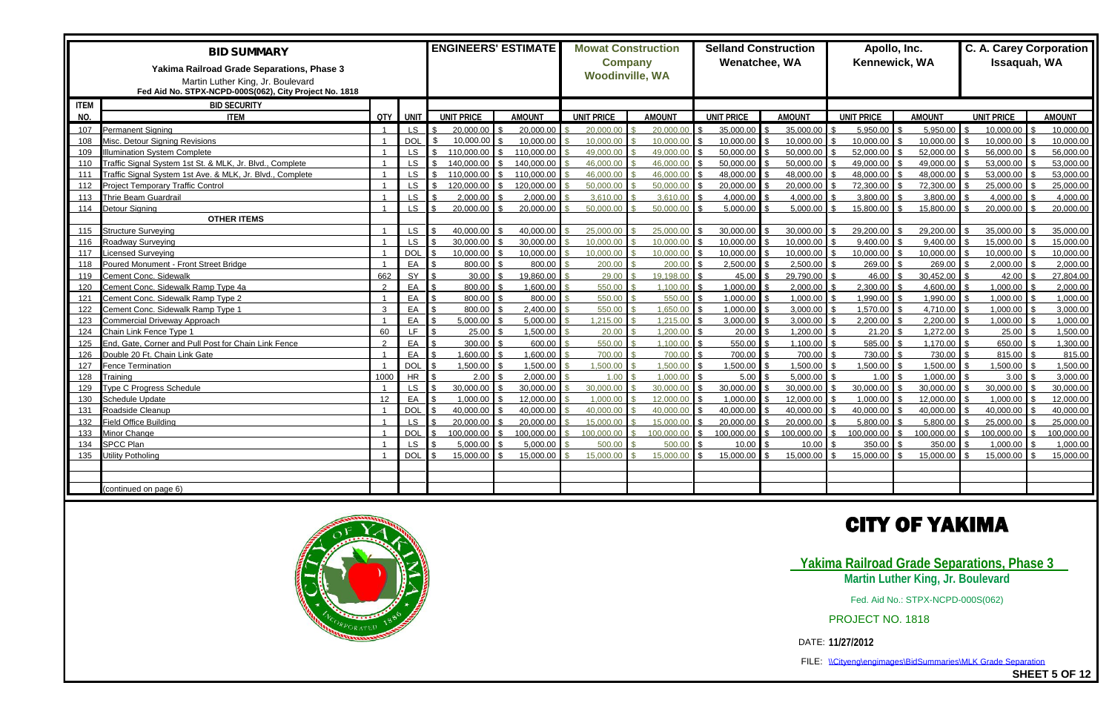|             | <b>BID SUMMARY</b><br>Yakima Railroad Grade Separations, Phase 3<br>Martin Luther King, Jr. Boulevard |                |            | <b>ENGINEERS' ESTIMATE</b> |               | <b>Mowat Construction</b><br><b>Woodinville, WA</b> | <b>Company</b> | <b>Selland Construction</b><br>Wenatchee, WA |               | Apollo, Inc.<br>Kennewick, WA |               | C. A. Carey Corporation<br>Issaquah, WA |               |
|-------------|-------------------------------------------------------------------------------------------------------|----------------|------------|----------------------------|---------------|-----------------------------------------------------|----------------|----------------------------------------------|---------------|-------------------------------|---------------|-----------------------------------------|---------------|
|             | Fed Aid No. STPX-NCPD-000S(062), City Project No. 1818                                                |                |            |                            |               |                                                     |                |                                              |               |                               |               |                                         |               |
| <b>ITEM</b> | <b>BID SECURITY</b>                                                                                   |                |            |                            |               |                                                     |                |                                              |               |                               |               |                                         |               |
| NO.         | <b>ITEM</b>                                                                                           | QTY            | UNT        | <b>UNIT PRICE</b>          | <b>AMOUNT</b> | <b>UNIT PRICE</b>                                   | <b>AMOUNT</b>  | <b>UNIT PRICE</b>                            | <b>AMOUNT</b> | <b>UNIT PRICE</b>             | <b>AMOUNT</b> | <b>UNIT PRICE</b>                       | <b>AMOUNT</b> |
| 107         | Permanent Signing                                                                                     | $\overline{1}$ | LS.        | 20,000.00                  | 20,000.00     | 20,000,00                                           | 20,000,00      | 35,000.00                                    | 35,000.00     | 5,950.00                      | 5.950.00      | 10,000.00                               | 10.000.00     |
| 108         | Misc. Detour Signing Revisions                                                                        | $\overline{1}$ | <b>DOL</b> | 10.000.00                  | 10,000.00     | 10,000.00                                           | 10,000.00      | 10,000.00                                    | 10,000.00     | $10,000.00$ \$                | 10,000.00     | 10,000.00                               | 10,000.00     |
| 109         | <b>Ilumination System Complete</b>                                                                    |                | <b>LS</b>  | 110.000.00                 | 110.000.00    | 49.000.00                                           | 49.000.00      | 50.000.00                                    | 50.000.00     | 52,000.00                     | 52,000.00     | 56,000.00                               | 56,000.00     |
| 110         | Traffic Signal System 1st St. & MLK, Jr. Blvd., Complete                                              |                | <b>LS</b>  | 140.000.00                 | 140.000.00    | 46,000.00                                           | 46.000.00      | 50.000.00                                    | 50.000.00     | 49,000.00                     | 49.000.00     | 53,000.00                               | 53,000.00     |
| 111         | Traffic Signal System 1st Ave. & MLK, Jr. Blvd., Complete                                             | $\overline{1}$ | <b>LS</b>  | 110.000.00                 | 110.000.00    | 46.000.00                                           | 46,000.00      | 48,000.00                                    | 48,000.00     | 48,000.00                     | 48,000.00     | 53,000.00                               | 53,000.00     |
| 112         | Project Temporary Traffic Control                                                                     |                | <b>LS</b>  | 120.000.00                 | 120,000.00    | 50.000.00                                           | 50,000.00      | 20,000.00                                    | 20,000.00     | 72,300.00                     | 72,300.00     | 25,000.00                               | 25,000.00     |
| 113         | Thrie Beam Guardrail                                                                                  |                | LS         | 2.000.00                   | 2,000.00      | 3.610.00                                            | 3.610.00       | 4,000.00                                     | 4,000.00      | 3,800.00                      | 3.800.00      | 4,000.00                                | 4.000.00      |
| 114         | Detour Signing                                                                                        | $\overline{1}$ | <b>LS</b>  | 20,000.00                  | 20,000.00     | 50.000.00                                           | 50,000.00      | 5,000.00                                     | 5,000.00      | 15.800.00 \$                  | 15,800.00     | 20,000.00                               | 20,000.00     |
|             | <b>OTHER ITEMS</b>                                                                                    |                |            |                            |               |                                                     |                |                                              |               |                               |               |                                         |               |
| 115         | Structure Surveying                                                                                   | $\overline{1}$ | LS.        | 40.000.00                  | 40,000.00     | 25,000,00                                           | 25.000.00      | 30.000.00                                    | 30,000.00     | 29,200.00                     | 29,200.00     | 35,000.00                               | 35,000.00     |
| 116         | Roadway Surveying                                                                                     |                | <b>LS</b>  | 30,000.00                  | 30,000.00     | 10,000.00                                           | 10,000.00      | 10,000.00                                    | 10,000.00     | 9,400.00                      | 9,400.00      | 15,000.00                               | 15,000.00     |
| 117         | icensed Surveying                                                                                     |                | <b>DOL</b> | 10.000.00                  | 10,000.00     | 10.000.00                                           | 10.000.00      | 10,000.00                                    | 10,000.00     | 10,000.00                     | 10.000.00     | 10,000.00                               | 10.000.00     |
| 118         | Poured Monument - Front Street Bridge                                                                 |                | EA         | 800.00                     | 800.00        | 200.00                                              | 200.00         | 2,500.00                                     | 2,500.00      | 269.00 \$                     | 269.00        | 2,000.00                                | 2,000.00      |
| 119         | Cement Conc. Sidewalk                                                                                 | 662            | SY         | 30.00                      | 19,860.00     | 29.00                                               | 19,198.00      | 45.00                                        | 29,790.00     | $46.00$ \$                    | 30,452.00     | 42.00                                   | 27,804.00     |
| 120         | Cement Conc. Sidewalk Ramp Type 4a                                                                    | 2              | EA         | 800.00                     | 1.600.00      | 550.00                                              | 1.100.00       | 1.000.00                                     | 2,000.00      | 2.300.00                      | 4.600.00      | 1,000.00                                | 2.000.00      |
| 121         | Cement Conc. Sidewalk Ramp Type 2                                                                     | $\overline{1}$ | EA         | 800.00                     | 800.00        | 550.00                                              | 550.00         | 1.000.00                                     | 1,000.00      | 1,990.00                      | 1,990.00      | 1,000.00                                | 1,000.00      |
| 122         | Cement Conc. Sidewalk Ramp Type 1                                                                     | $\mathbf{3}$   | EA         | 800.00                     | 2,400.00      | 550.00                                              | 1,650.00       | 1,000.00                                     | 3,000.00      | 1,570.00                      | 4,710.00      | 1,000.00                                | 3.000.00      |
| 123         | Commercial Driveway Approach                                                                          |                | EA         | 5,000.00                   | 5,000.00      | 1,215.00                                            | 1,215.00       | 3,000.00                                     | 3,000.00      | 2,200.00                      | 2,200.00      | 1,000.00                                | 1.000.00      |
| 124         | Chain Link Fence Type 1                                                                               | 60             | LF.        | 25.00                      | 1,500.00      | 20.00                                               | 1,200.00       | 20.00                                        | 1,200.00      |                               | 1,272.00      | 25.00                                   | 1,500.00      |
| 125         | End, Gate, Corner and Pull Post for Chain Link Fence                                                  | $\mathcal{L}$  | EA         | 300.00                     | 600.00        | 550.00                                              | 1.100.00       | 550.00                                       | 1.100.00      | 585.00                        | 1.170.00      | 650.00                                  | 1,300.00      |
| 126         | Double 20 Ft. Chain Link Gate                                                                         |                | EA         | 1.600.00                   | 1.600.00      | 700.00                                              | 700.00         | 700.00                                       | 700.00        | 730.00                        | 730.00        | 815.00                                  | 815.00        |
| 127         | Fence Termination                                                                                     | $\overline{1}$ | <b>DOL</b> | 1,500.00                   | 1,500.00      | 1.500.00                                            | 1,500.00       | 1,500.00                                     | 1,500.00      | 1,500.00                      | 1,500.00      | 1,500.00                                | 1,500.00      |
| 128         | Training                                                                                              | 1000           | <b>HR</b>  | 2.00                       | 2,000.00      | 1.00                                                | 1.000.00       | 5.00                                         | 5,000.00      | 1.00                          | 1.000.00      | 3.00                                    | 3.000.00      |
| 129         | <b>Type C Progress Schedule</b>                                                                       |                | LS.        | 30.000.00                  | 30.000.00     | 30.000.00                                           | 30.000.00      | 30.000.00                                    | 30.000.00     | 30.000.00                     | 30.000.00     | 30.000.00                               | 30.000.00     |
| 130         | Schedule Update                                                                                       | 12             | EA         | 1.000.00                   | 12,000.00     | 1.000.00                                            | 12,000.00      | 1.000.00                                     | 12.000.00     | $1.000.00$ \ \$               | 12,000.00     | 1,000.00                                | 12,000.00     |
| 131         | Roadside Cleanup                                                                                      |                | <b>DOL</b> | 40.000.00                  | 40.000.00     | 40.000.00                                           | 40.000.00      | 40.000.00                                    | 40.000.00     | 40.000.00                     | 40.000.00     | 40.000.00                               | 40.000.00     |
| 132         | <b>Field Office Building</b>                                                                          |                | <b>LS</b>  | 20.000.00                  | 20,000.00     | 15,000.00                                           | 15,000.00      | 20.000.00                                    | 20,000.00     | 5,800.00                      | 5,800.00      | 25,000.00                               | 25,000.00     |
| 133         | Minor Change                                                                                          | $\overline{1}$ | <b>DOL</b> | 100,000.00                 | 100,000.00    | 100,000,00                                          | 100,000,00     | 100.000.00                                   | 100,000.00    | 100,000.00                    | 100,000.00    | 100,000.00                              | 100,000.00    |
| 134         | <b>SPCC Plan</b>                                                                                      |                | <b>LS</b>  | 5.000.00                   | 5,000.00      | 500.00                                              | 500.00         | 10.00                                        | 10.00         | 350.00                        | 350.00        | 1,000.00                                | 1.000.00      |
| 135         | Utility Potholing                                                                                     |                | <b>DOL</b> | 15,000.00                  | 15,000.00     | 15,000.00                                           | 15.000.00      | 15.000.00                                    | 15,000.00     | 15,000.00                     | 15.000.00     | 15,000.00                               | 15,000.00     |
|             |                                                                                                       |                |            |                            |               |                                                     |                |                                              |               |                               |               |                                         |               |
|             |                                                                                                       |                |            |                            |               |                                                     |                |                                              |               |                               |               |                                         |               |
|             | continued on page 6)                                                                                  |                |            |                            |               |                                                     |                |                                              |               |                               |               |                                         |               |





FILE: \\Cityeng\engimages\BidSummaries\MLK Grade Separation

**SHEET 5 OF 12**

## **CITY OF YAKIMA**

### **Yakima Railroad Grade Separations, Phase 3 Martin Luther King, Jr. Boulevard**

Fed. Aid No.: STPX-NCPD-000S(062)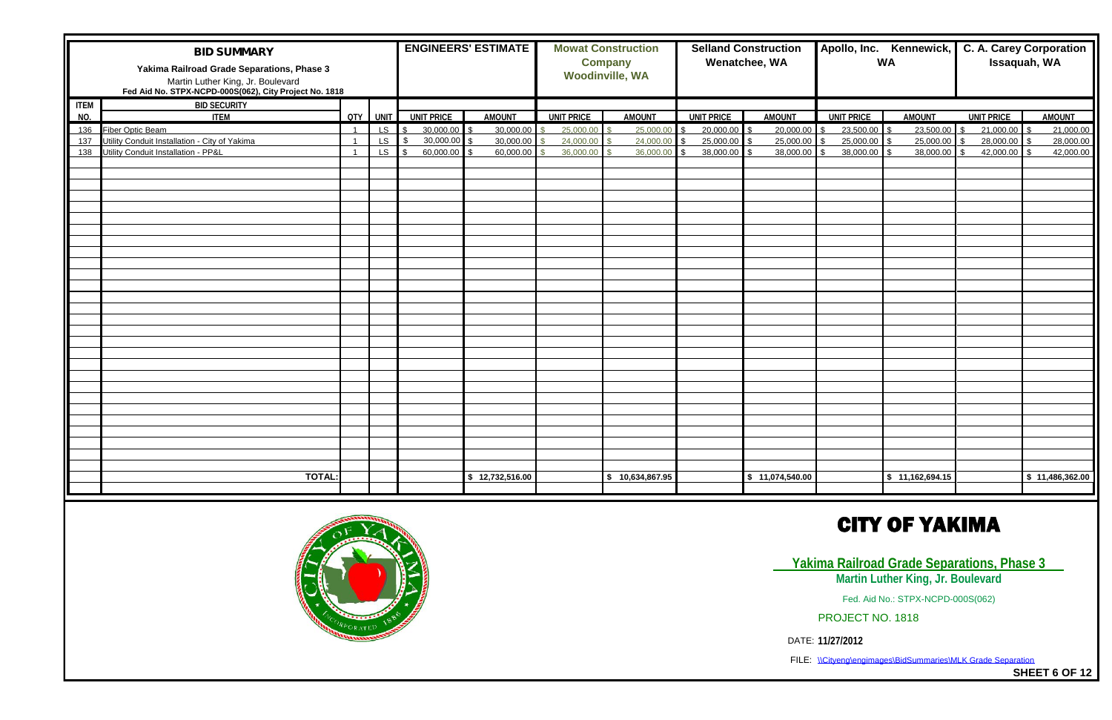FILE: \\Cityeng\engimages\BidSummaries\MLK Grade Separation

|                    | <b>BID SUMMARY</b><br>Yakima Railroad Grade Separations, Phase 3<br>Martin Luther King, Jr. Boulevard<br>Fed Aid No. STPX-NCPD-000S(062), City Project No. 1818 |                |         |                   | <b>ENGINEERS' ESTIMATE</b> |                   | <b>Mowat Construction</b><br><b>Company</b><br><b>Woodinville, WA</b> |                   | <b>Selland Construction</b><br>Wenatchee, WA |                                 | Apollo, Inc. Kennewick,<br><b>WA</b> | <b>C. A. Carey Corporation</b><br>Issaquah, WA |                 |
|--------------------|-----------------------------------------------------------------------------------------------------------------------------------------------------------------|----------------|---------|-------------------|----------------------------|-------------------|-----------------------------------------------------------------------|-------------------|----------------------------------------------|---------------------------------|--------------------------------------|------------------------------------------------|-----------------|
| <b>ITEM</b><br>NO. | <b>BID SECURITY</b><br><b>ITEM</b>                                                                                                                              |                | QTY UNT | <b>UNIT PRICE</b> | <b>AMOUNT</b>              | <b>UNIT PRICE</b> | <b>AMOUNT</b>                                                         | <b>UNIT PRICE</b> | <b>AMOUNT</b>                                | <b>UNIT PRICE</b>               | <b>AMOUNT</b>                        | <b>UNIT PRICE</b>                              | <b>AMOUNT</b>   |
| 136                | <b>Fiber Optic Beam</b>                                                                                                                                         | $\overline{1}$ | LS      | 30,000.00         | 30,000.00                  | 25,000.00         | 25,000.00                                                             | 20,000.00         | 20,000.00                                    | 23,500.00                       | 23,500.00                            | 21,000.00                                      | 21,000.00       |
| 137                | Utility Conduit Installation - City of Yakima                                                                                                                   | $\overline{1}$ | LS.     | 30,000.00         | 30,000.00                  | 24,000.00         | 24,000.00                                                             | 25,000.00         | 25,000.00                                    | 25,000.00                       | 25,000.00                            | 28,000.00<br>Ι¢                                | 28,000.00       |
|                    | 138 Utility Conduit Installation - PP&L                                                                                                                         | -1             | LS.     | 60,000.00         | 60,000.00                  | 36,000.00         | 36,000.00                                                             | 38,000.00         | 38,000.00                                    | 38,000.00<br>$\hat{\mathbf{r}}$ | 38,000.00                            | 42,000.00                                      | 42,000.00       |
|                    |                                                                                                                                                                 |                |         |                   |                            |                   |                                                                       |                   |                                              |                                 |                                      |                                                |                 |
|                    |                                                                                                                                                                 |                |         |                   |                            |                   |                                                                       |                   |                                              |                                 |                                      |                                                |                 |
|                    |                                                                                                                                                                 |                |         |                   |                            |                   |                                                                       |                   |                                              |                                 |                                      |                                                |                 |
|                    |                                                                                                                                                                 |                |         |                   |                            |                   |                                                                       |                   |                                              |                                 |                                      |                                                |                 |
|                    |                                                                                                                                                                 |                |         |                   |                            |                   |                                                                       |                   |                                              |                                 |                                      |                                                |                 |
|                    |                                                                                                                                                                 |                |         |                   |                            |                   |                                                                       |                   |                                              |                                 |                                      |                                                |                 |
|                    |                                                                                                                                                                 |                |         |                   |                            |                   |                                                                       |                   |                                              |                                 |                                      |                                                |                 |
|                    |                                                                                                                                                                 |                |         |                   |                            |                   |                                                                       |                   |                                              |                                 |                                      |                                                |                 |
|                    |                                                                                                                                                                 |                |         |                   |                            |                   |                                                                       |                   |                                              |                                 |                                      |                                                |                 |
|                    |                                                                                                                                                                 |                |         |                   |                            |                   |                                                                       |                   |                                              |                                 |                                      |                                                |                 |
|                    |                                                                                                                                                                 |                |         |                   |                            |                   |                                                                       |                   |                                              |                                 |                                      |                                                |                 |
|                    |                                                                                                                                                                 |                |         |                   |                            |                   |                                                                       |                   |                                              |                                 |                                      |                                                |                 |
|                    |                                                                                                                                                                 |                |         |                   |                            |                   |                                                                       |                   |                                              |                                 |                                      |                                                |                 |
|                    |                                                                                                                                                                 |                |         |                   |                            |                   |                                                                       |                   |                                              |                                 |                                      |                                                |                 |
|                    |                                                                                                                                                                 |                |         |                   |                            |                   |                                                                       |                   |                                              |                                 |                                      |                                                |                 |
|                    |                                                                                                                                                                 |                |         |                   |                            |                   |                                                                       |                   |                                              |                                 |                                      |                                                |                 |
|                    |                                                                                                                                                                 |                |         |                   |                            |                   |                                                                       |                   |                                              |                                 |                                      |                                                |                 |
|                    |                                                                                                                                                                 |                |         |                   |                            |                   |                                                                       |                   |                                              |                                 |                                      |                                                |                 |
|                    |                                                                                                                                                                 |                |         |                   |                            |                   |                                                                       |                   |                                              |                                 |                                      |                                                |                 |
|                    |                                                                                                                                                                 |                |         |                   |                            |                   |                                                                       |                   |                                              |                                 |                                      |                                                |                 |
|                    |                                                                                                                                                                 |                |         |                   |                            |                   |                                                                       |                   |                                              |                                 |                                      |                                                |                 |
|                    |                                                                                                                                                                 |                |         |                   |                            |                   |                                                                       |                   |                                              |                                 |                                      |                                                |                 |
|                    |                                                                                                                                                                 |                |         |                   |                            |                   |                                                                       |                   |                                              |                                 |                                      |                                                |                 |
|                    |                                                                                                                                                                 |                |         |                   |                            |                   |                                                                       |                   |                                              |                                 |                                      |                                                |                 |
|                    |                                                                                                                                                                 |                |         |                   |                            |                   |                                                                       |                   |                                              |                                 |                                      |                                                |                 |
|                    |                                                                                                                                                                 |                |         |                   |                            |                   |                                                                       |                   |                                              |                                 |                                      |                                                |                 |
|                    |                                                                                                                                                                 |                |         |                   |                            |                   |                                                                       |                   |                                              |                                 |                                      |                                                |                 |
|                    | <b>TOTAL:</b>                                                                                                                                                   |                |         |                   | \$12,732,516.00            |                   | \$10,634,867.95                                                       |                   | \$11,074,540.00                              |                                 | \$11,162,694.15                      |                                                | \$11,486,362.00 |
|                    |                                                                                                                                                                 |                |         |                   |                            |                   |                                                                       |                   |                                              |                                 |                                      |                                                |                 |



**SHEET 6 OF 12**

## **CITY OF YAKIMA**

**Yakima Railroad Grade Separations, Phase 3 Martin Luther King, Jr. Boulevard**

Fed. Aid No.: STPX-NCPD-000S(062)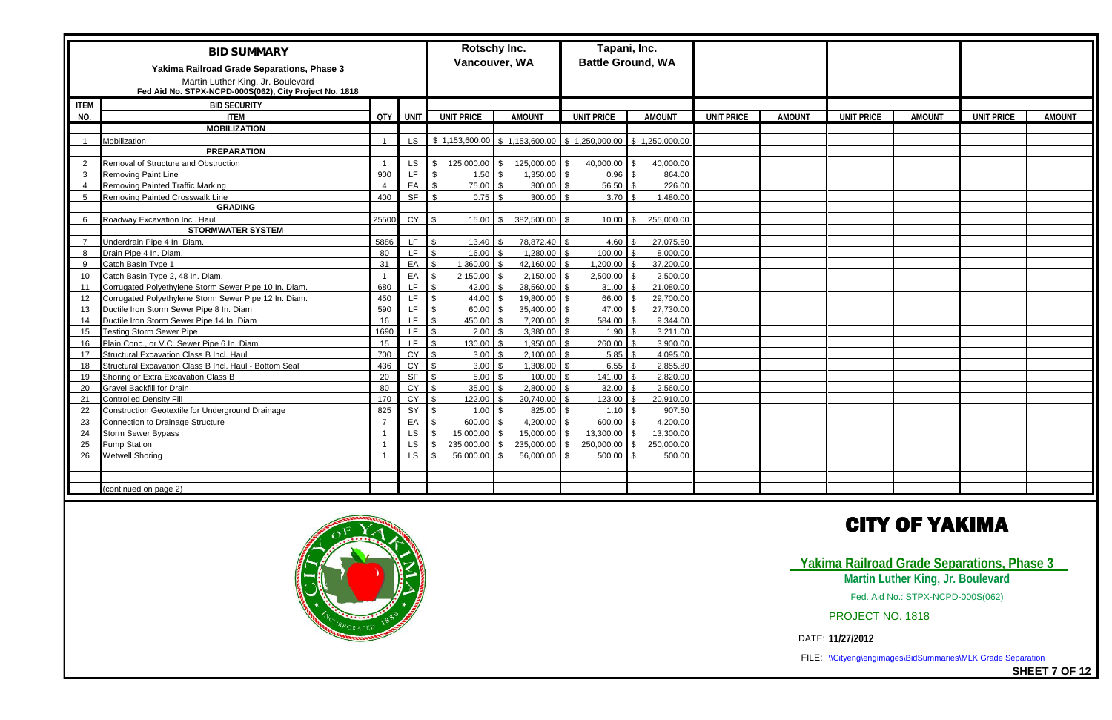|                | <b>BID SUMMARY</b><br>Yakima Railroad Grade Separations, Phase 3                            |                |            | <b>Rotschy Inc.</b><br>Vancouver, WA |                           | Tapani, Inc.<br><b>Battle Ground, WA</b>                       |               |                   |               |                   |               |                   |               |
|----------------|---------------------------------------------------------------------------------------------|----------------|------------|--------------------------------------|---------------------------|----------------------------------------------------------------|---------------|-------------------|---------------|-------------------|---------------|-------------------|---------------|
|                | Martin Luther King, Jr. Boulevard<br>Fed Aid No. STPX-NCPD-000S(062), City Project No. 1818 |                |            |                                      |                           |                                                                |               |                   |               |                   |               |                   |               |
| <b>ITEM</b>    | <b>BID SECURITY</b>                                                                         |                |            |                                      |                           |                                                                |               |                   |               |                   |               |                   |               |
| NO.            | <b>ITEM</b>                                                                                 |                | QTY I UNIT | <b>UNIT PRICE</b>                    | <b>AMOUNT</b>             | <b>UNIT PRICE</b>                                              | <b>AMOUNT</b> | <b>UNIT PRICE</b> | <b>AMOUNT</b> | <b>UNIT PRICE</b> | <b>AMOUNT</b> | <b>UNIT PRICE</b> | <b>AMOUNT</b> |
|                | <b>MOBILIZATION</b>                                                                         |                |            |                                      |                           |                                                                |               |                   |               |                   |               |                   |               |
| $\overline{1}$ | Mobilization                                                                                |                |            |                                      |                           | LS \$1,153,600.00 \$1,153,600.00 \$1,250,000.00 \$1,250,000.00 |               |                   |               |                   |               |                   |               |
|                | <b>PREPARATION</b>                                                                          |                |            |                                      |                           |                                                                |               |                   |               |                   |               |                   |               |
| $\overline{2}$ | Removal of Structure and Obstruction                                                        |                | LS.        | 125,000.00                           | 125,000.00                | 40,000.00                                                      | 40,000.00     |                   |               |                   |               |                   |               |
| $\mathbf{3}$   | <b>Removing Paint Line</b>                                                                  | 900            | LF.        | 1.50                                 | 1,350.00                  | 0.96                                                           | 864.00        |                   |               |                   |               |                   |               |
| $\overline{4}$ | <b>Removing Painted Traffic Marking</b>                                                     |                | EA         | 75.00                                | 300.00                    | 56.50                                                          | 226.00        |                   |               |                   |               |                   |               |
| -5             | Removing Painted Crosswalk Line                                                             | 400            | <b>SF</b>  | 0.75                                 | 300.00                    | 3.70                                                           | 1,480.00      |                   |               |                   |               |                   |               |
|                | <b>GRADING</b>                                                                              |                |            |                                      |                           |                                                                |               |                   |               |                   |               |                   |               |
| 6              | Roadway Excavation Incl. Haul                                                               | 25500          | <b>CY</b>  | 15.00                                | 382,500.00<br>¢           | 10.00                                                          | 255,000.00    |                   |               |                   |               |                   |               |
|                | <b>STORMWATER SYSTEM</b>                                                                    |                |            |                                      |                           |                                                                |               |                   |               |                   |               |                   |               |
| $\overline{7}$ | Underdrain Pipe 4 In. Diam.                                                                 | 5886           | LF.        | 13.40                                | 78,872.40 \$              | 4.60                                                           | 27,075.60     |                   |               |                   |               |                   |               |
| 8              | Drain Pipe 4 In. Diam.                                                                      | 80             | LF.        | 16.00                                | 1,280.00                  | 100.00                                                         | 8,000.00      |                   |               |                   |               |                   |               |
| 9              | Catch Basin Type 1                                                                          | 31             | EA         | 1,360.00                             | 42,160.00<br>$\mathbb{R}$ | 1,200.00                                                       | 37,200.00     |                   |               |                   |               |                   |               |
| 10             | Catch Basin Type 2, 48 In. Diam.                                                            |                | EA         | 2,150.00                             | 2,150.00                  | 2,500.00                                                       | 2,500.00      |                   |               |                   |               |                   |               |
| 11             | Corrugated Polyethylene Storm Sewer Pipe 10 In. Diam.                                       | 680            | LF.        | 42.00                                | 28,560.00                 | 31.00                                                          | 21.080.00     |                   |               |                   |               |                   |               |
| 12             | Corrugated Polyethylene Storm Sewer Pipe 12 In. Diam.                                       | 450            | LF.        | 44.00                                | 19,800.00                 | 66.00                                                          | 29,700.00     |                   |               |                   |               |                   |               |
| 13             | Ductile Iron Storm Sewer Pipe 8 In. Diam                                                    | 590            | LF.        | 60.00                                | 35,400.00                 | 47.00                                                          | 27,730.00     |                   |               |                   |               |                   |               |
| 14             | Ductile Iron Storm Sewer Pipe 14 In. Diam                                                   | 16             | <b>LF</b>  | 450.00                               | 7,200.00                  | 584.00                                                         | 9,344.00      |                   |               |                   |               |                   |               |
| 15             | <b>Testing Storm Sewer Pipe</b>                                                             | 1690           | LF.        | 2.00                                 | 3,380.00                  | 1.90                                                           | 3,211.00      |                   |               |                   |               |                   |               |
| 16             | Plain Conc., or V.C. Sewer Pipe 6 In. Diam                                                  | 15             | LF.        | 130.00                               | 1,950.00                  | 260.00                                                         | 3.900.00      |                   |               |                   |               |                   |               |
| 17             | Structural Excavation Class B Incl. Haul                                                    | 700            | CY         | 3.00                                 | 2,100.00                  | 5.85                                                           | 4,095.00      |                   |               |                   |               |                   |               |
| 18             | Structural Excavation Class B Incl. Haul - Bottom Seal                                      | 436            | <b>CY</b>  | 3.00                                 | 1,308.00                  | 6.55                                                           | 2,855.80      |                   |               |                   |               |                   |               |
| 19             | Shoring or Extra Excavation Class B                                                         | 20             | <b>SF</b>  | 5.00                                 | 100.00                    | 141.00                                                         | 2,820.00      |                   |               |                   |               |                   |               |
| 20             | <b>Gravel Backfill for Drain</b>                                                            | 80             | CY         | 35.00                                | 2,800.00                  | 32.00                                                          | 2,560.00      |                   |               |                   |               |                   |               |
| 21             | <b>Controlled Density Fill</b>                                                              | 170            | CY         | 122.00                               | 20,740.00                 | 123.00                                                         | 20,910.00     |                   |               |                   |               |                   |               |
| 22             | Construction Geotextile for Underground Drainage                                            | 825            | SY         | 1.00                                 | 825.00                    | 1.10                                                           | 907.50        |                   |               |                   |               |                   |               |
| 23             | <b>Connection to Drainage Structure</b>                                                     | $\overline{7}$ | EA         | 600.00                               | 4,200.00                  | 600.00                                                         | 4,200.00      |                   |               |                   |               |                   |               |
| 24             | <b>Storm Sewer Bypass</b>                                                                   |                | <b>LS</b>  | 15,000.00                            | 15,000.00                 | 13,300.00                                                      | 13.300.00     |                   |               |                   |               |                   |               |
| 25             | <b>Pump Station</b>                                                                         |                | LS         | 235,000.00                           | 235,000.00                | 250,000.00<br>¢                                                | 250,000.00    |                   |               |                   |               |                   |               |
| 26             | <b>Wetwell Shoring</b>                                                                      |                | <b>LS</b>  | 56,000,00                            | 56.000.00                 | 500.00                                                         | 500.00        |                   |               |                   |               |                   |               |
|                |                                                                                             |                |            |                                      |                           |                                                                |               |                   |               |                   |               |                   |               |
|                |                                                                                             |                |            |                                      |                           |                                                                |               |                   |               |                   |               |                   |               |
|                | continued on page 2)                                                                        |                |            |                                      |                           |                                                                |               |                   |               |                   |               |                   |               |





FILE: \\Cityeng\engimages\BidSummaries\MLK Grade Separation

**SHEET 7 OF 12**

## **CITY OF YAKIMA**

### **Yakima Railroad Grade Separations, Phase 3 Martin Luther King, Jr. Boulevard**

Fed. Aid No.: STPX-NCPD-000S(062)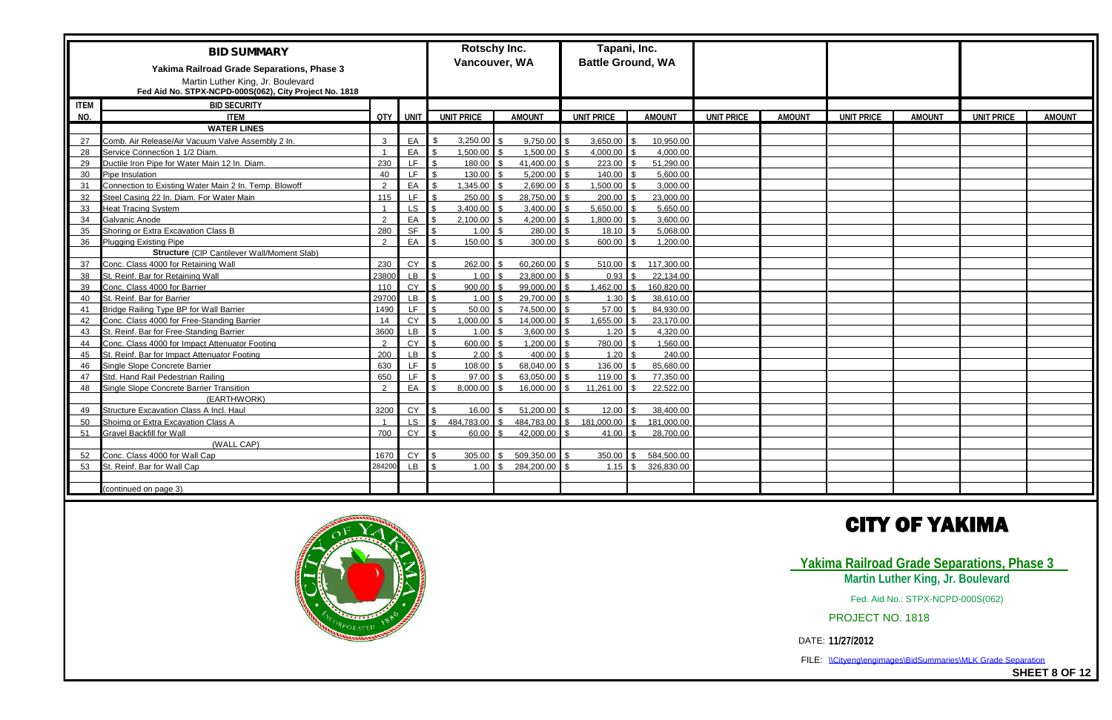|             | <b>BID SUMMARY</b>                                                                                                                        |               |             | <b>Rotschy Inc.</b><br>Vancouver, WA |                  |                                 | Tapani, Inc.<br><b>Battle Ground, WA</b> |                   |               |                   |               |                   |               |
|-------------|-------------------------------------------------------------------------------------------------------------------------------------------|---------------|-------------|--------------------------------------|------------------|---------------------------------|------------------------------------------|-------------------|---------------|-------------------|---------------|-------------------|---------------|
|             | Yakima Railroad Grade Separations, Phase 3<br>Martin Luther King, Jr. Boulevard<br>Fed Aid No. STPX-NCPD-000S(062), City Project No. 1818 |               |             |                                      |                  |                                 |                                          |                   |               |                   |               |                   |               |
| <b>ITEM</b> | <b>BID SECURITY</b>                                                                                                                       |               |             |                                      |                  |                                 |                                          |                   |               |                   |               |                   |               |
| NO.         | <b>ITEM</b>                                                                                                                               | QTY I         | <b>UNIT</b> | <b>UNIT PRICE</b>                    | <b>AMOUNT</b>    | <b>UNIT PRICE</b>               | <b>AMOUNT</b>                            | <b>UNIT PRICE</b> | <b>AMOUNT</b> | <b>UNIT PRICE</b> | <b>AMOUNT</b> | <b>UNIT PRICE</b> | <b>AMOUNT</b> |
|             | <b>WATER LINES</b>                                                                                                                        |               |             |                                      |                  |                                 |                                          |                   |               |                   |               |                   |               |
| 27          | Comb. Air Release/Air Vacuum Valve Assembly 2 In.                                                                                         |               | EA          | 3,250.00                             | 9,750.00         | 3,650.00                        | 10,950.00                                |                   |               |                   |               |                   |               |
| 28          | Service Connection 1 1/2 Diam.                                                                                                            |               | EA          | 1,500.00                             | 1,500.00         | 4,000.00                        | 4,000.00                                 |                   |               |                   |               |                   |               |
| 29          | Ductile Iron Pipe for Water Main 12 In. Diam.                                                                                             | 230           | LF.         | 180.00                               | 41,400.00        | 223.00                          | 51,290.00                                |                   |               |                   |               |                   |               |
| 30          | Pipe Insulation                                                                                                                           | 40            | LF.         | 130.00                               | 5,200.00         | 140.00                          | 5.600.00                                 |                   |               |                   |               |                   |               |
| 31          | Connection to Existing Water Main 2 In. Temp. Blowoff                                                                                     | $\Omega$      | EA          | 1,345.00                             | 2,690.00         | 1,500.00                        | 3,000.00                                 |                   |               |                   |               |                   |               |
| 32          | Steel Casing 22 In. Diam. For Water Main                                                                                                  | 115           | LF.         | 250.00                               | 28,750.00        | 200.00                          | 23.000.00                                |                   |               |                   |               |                   |               |
| 33          | <b>Heat Tracing System</b>                                                                                                                |               | LS          | 3,400.00                             | 3,400.00         | 5,650.00                        | 5,650.00                                 |                   |               |                   |               |                   |               |
| 34          | Galvanic Anode                                                                                                                            | ົ             | EA          | 2,100.00                             | 4,200.00         | 1,800.00                        | 3,600.00                                 |                   |               |                   |               |                   |               |
| 35          | Shoring or Extra Excavation Class B                                                                                                       | 280           | <b>SF</b>   | 1.00                                 | 280.00           | 18.10                           | 5,068.00                                 |                   |               |                   |               |                   |               |
| 36          | <b>Plugging Existing Pipe</b>                                                                                                             | $\mathcal{P}$ | EA          | 150.00                               | 300.00           | 600.00                          | 1,200.00                                 |                   |               |                   |               |                   |               |
|             | Structure (CIP Cantilever Wall/Moment Slab)                                                                                               |               |             |                                      |                  |                                 |                                          |                   |               |                   |               |                   |               |
| 37          | Conc. Class 4000 for Retaining Wall                                                                                                       | 230           | CY          | 262.00                               | 60,260.00        | 510.00                          | 117,300.00                               |                   |               |                   |               |                   |               |
| 38          | St. Reinf. Bar for Retaining Wall                                                                                                         | 23800         | LB          | 1.00                                 | 23,800.00        | 0.93                            | 22,134.00                                |                   |               |                   |               |                   |               |
| 39          | Conc. Class 4000 for Barrier                                                                                                              | 110           | <b>CY</b>   | 900.00                               | 99,000.00        | 1,462.00                        | 160,820.00                               |                   |               |                   |               |                   |               |
| 40          | St. Reinf. Bar for Barrier                                                                                                                | 29700         | <b>LB</b>   | 1.00                                 | 29,700.00        | 1.30                            | 38,610.00                                |                   |               |                   |               |                   |               |
| 41          | Bridge Railing Type BP for Wall Barrier                                                                                                   | 1490          | LF.         | 50.00                                | 74,500.00        | 57.00                           | 84,930.00                                |                   |               |                   |               |                   |               |
| 42          | Conc. Class 4000 for Free-Standing Barrier                                                                                                | 14            | CY          | 1,000.00                             | 14,000.00        | 1,655.00                        | 23,170.00                                |                   |               |                   |               |                   |               |
| 43          | St. Reinf. Bar for Free-Standing Barrier                                                                                                  | 3600          | LB          | 1.00                                 | 3,600.00         | 1.20                            | 4,320.00                                 |                   |               |                   |               |                   |               |
| 44          | Conc. Class 4000 for Impact Attenuator Footing                                                                                            | $\Omega$      | CY          | 600.00                               | 1,200.00         | 780.00                          | 1,560.00                                 |                   |               |                   |               |                   |               |
| 45          | St. Reinf. Bar for Impact Attenuator Footing                                                                                              | 200           | LB.         | 2.00                                 | 400.00           | 1.20                            | 240.00                                   |                   |               |                   |               |                   |               |
| 46          | Single Slope Concrete Barrier                                                                                                             | 630           | LF.         | 108.00                               | 68,040.00        | 136.00                          | 85,680.00                                |                   |               |                   |               |                   |               |
| 47          | Std. Hand Rail Pedestrian Railing                                                                                                         | 650           | LF.         | 97.00                                | 63,050.00        | 119.00                          | 77.350.00                                |                   |               |                   |               |                   |               |
| 48          | Single Slope Concrete Barrier Transition                                                                                                  | $\mathcal{D}$ | EA I        | 8,000.00                             | 16,000.00<br>l ¢ | 11,261.00<br>$\mathbf{\hat{S}}$ | 22,522.00                                |                   |               |                   |               |                   |               |
|             | (EARTHWORK)                                                                                                                               |               |             |                                      |                  |                                 |                                          |                   |               |                   |               |                   |               |
| 49          | Structure Excavation Class A Incl. Haul                                                                                                   | 3200          | <b>CY</b>   | 16.00                                | 51,200.00        | 12.00                           | 38.400.00                                |                   |               |                   |               |                   |               |
| 50          | Shoirng or Extra Excavation Class A                                                                                                       |               | LS.         | 484,783.00                           | 484,783.00 \$    | 181,000.00                      | 181,000.00                               |                   |               |                   |               |                   |               |
| 51          | <b>Gravel Backfill for Wall</b>                                                                                                           | 700           | CY          | 60.00                                | 42,000.00        | 41.00                           | 28,700.00                                |                   |               |                   |               |                   |               |
|             | (WALL CAP)                                                                                                                                |               |             |                                      |                  |                                 |                                          |                   |               |                   |               |                   |               |
| 52          | Conc. Class 4000 for Wall Cap                                                                                                             | 1670          | CY          | 305.00                               | 509,350.00       | 350.00                          | 584,500.00                               |                   |               |                   |               |                   |               |
| 53          | St. Reinf. Bar for Wall Cap                                                                                                               | 284200        | <b>LB</b>   | 1.00                                 | 284,200.00       | 1.15                            | 326,830.00                               |                   |               |                   |               |                   |               |
|             |                                                                                                                                           |               |             |                                      |                  |                                 |                                          |                   |               |                   |               |                   |               |
|             | (continued on page 3)                                                                                                                     |               |             |                                      |                  |                                 |                                          |                   |               |                   |               |                   |               |





FILE: \\Cityeng\engimages\BidSummaries\MLK Grade Separation

**SHEET 8 OF 12**

## **CITY OF YAKIMA**

### **Yakima Railroad Grade Separations, Phase 3 Martin Luther King, Jr. Boulevard**

Fed. Aid No.: STPX-NCPD-000S(062)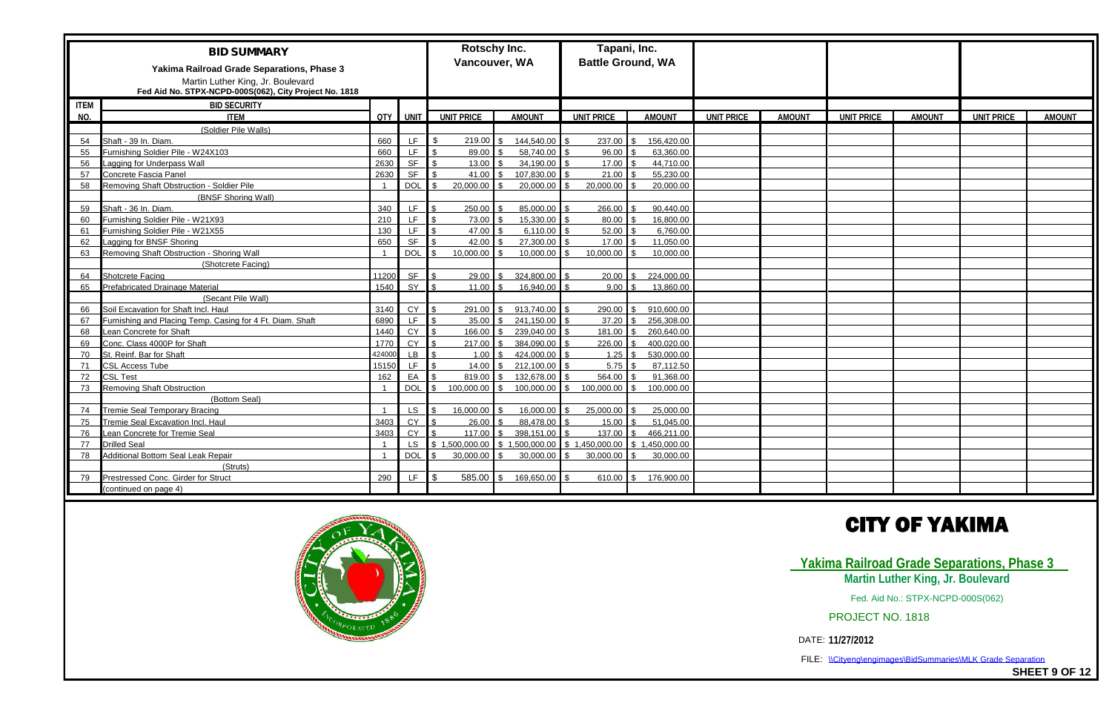|             | <b>BID SUMMARY</b><br>Yakima Railroad Grade Separations, Phase 3<br>Martin Luther King, Jr. Boulevard |        |             | <b>Rotschy Inc.</b><br>Vancouver, WA                                    |                                   | Tapani, Inc.      | <b>Battle Ground, WA</b>   |                   |               |                   |               |                   |               |
|-------------|-------------------------------------------------------------------------------------------------------|--------|-------------|-------------------------------------------------------------------------|-----------------------------------|-------------------|----------------------------|-------------------|---------------|-------------------|---------------|-------------------|---------------|
|             | Fed Aid No. STPX-NCPD-000S(062), City Project No. 1818                                                |        |             |                                                                         |                                   |                   |                            |                   |               |                   |               |                   |               |
| <b>ITEM</b> | <b>BID SECURITY</b>                                                                                   |        |             |                                                                         |                                   |                   |                            |                   |               |                   |               |                   |               |
| NO.         | <b>ITEM</b>                                                                                           | QTY I  | <b>UNIT</b> | <b>UNIT PRICE</b>                                                       | <b>AMOUNT</b>                     | <b>UNIT PRICE</b> | <b>AMOUNT</b>              | <b>UNIT PRICE</b> | <b>AMOUNT</b> | <b>UNIT PRICE</b> | <b>AMOUNT</b> | <b>UNIT PRICE</b> | <b>AMOUNT</b> |
|             | (Soldier Pile Walls)                                                                                  |        |             |                                                                         |                                   |                   |                            |                   |               |                   |               |                   |               |
| 54          | Shaft - 39 In. Diam.                                                                                  | 660    | LF.         | 219.00<br><b>¢</b>                                                      | 144,540.00<br>$\hat{\mathbf{r}}$  | 237.00            | 156,420.00                 |                   |               |                   |               |                   |               |
| 55          | Furnishing Soldier Pile - W24X103                                                                     | 660    | LF.         | 89.00                                                                   | 58,740.00                         | 96.00             | 63,360.00                  |                   |               |                   |               |                   |               |
| 56          | Lagging for Underpass Wall                                                                            | 2630   | <b>SF</b>   | 13.00                                                                   | 34.190.00                         | 17.00             | 44,710.00                  |                   |               |                   |               |                   |               |
| 57          | Concrete Fascia Panel                                                                                 | 2630   | <b>SF</b>   | 41.00                                                                   | 107,830.00<br>¢                   | 21.00             | 55,230.00                  |                   |               |                   |               |                   |               |
| 58          | Removing Shaft Obstruction - Soldier Pile                                                             |        | <b>DOL</b>  | 20,000.00                                                               | 20,000.00                         | 20,000.00         | 20,000.00                  |                   |               |                   |               |                   |               |
|             | (BNSF Shoring Wall)                                                                                   |        |             |                                                                         |                                   |                   |                            |                   |               |                   |               |                   |               |
| 59          | Shaft - 36 In. Diam.                                                                                  | 340    | LF.         | 250.00                                                                  | 85,000.00                         | 266.00            | 90,440.00                  |                   |               |                   |               |                   |               |
| 60          | Furnishing Soldier Pile - W21X93                                                                      | 210    | LF.         | 73.00                                                                   | 15,330.00                         | 80.00             | 16.800.00                  |                   |               |                   |               |                   |               |
| 61          | Furnishing Soldier Pile - W21X55                                                                      | 130    | LF.         | 47.00                                                                   | 6.110.00                          | 52.00             | 6,760.00                   |                   |               |                   |               |                   |               |
| 62          | Lagging for BNSF Shoring                                                                              | 650    | <b>SF</b>   | 42.00                                                                   | 27,300.00                         | 17.00             | 11,050.00                  |                   |               |                   |               |                   |               |
| 63          | Removing Shaft Obstruction - Shoring Wall                                                             |        | <b>DOL</b>  | 10.000.00                                                               | 10,000.00                         | 10,000.00         | 10.000.00                  |                   |               |                   |               |                   |               |
|             | (Shotcrete Facing)                                                                                    |        |             |                                                                         |                                   |                   |                            |                   |               |                   |               |                   |               |
| 64          | Shotcrete Facing                                                                                      | 11200  | <b>SF</b>   | 29.00                                                                   | 324,800.00                        | 20.00             | 224,000.00                 |                   |               |                   |               |                   |               |
| 65          | Prefabricated Drainage Material                                                                       | 1540   | SY          | 11.00                                                                   | 16,940.00                         | 9.00              | 13,860.00                  |                   |               |                   |               |                   |               |
|             | (Secant Pile Wall)                                                                                    |        |             |                                                                         |                                   |                   |                            |                   |               |                   |               |                   |               |
| 66          | Soil Excavation for Shaft Incl. Haul                                                                  | 3140   | CY          | 291.00                                                                  | 913,740.00<br>ፍ                   | 290.00            | 910,600.00                 |                   |               |                   |               |                   |               |
| 67          | Furnishing and Placing Temp. Casing for 4 Ft. Diam. Shaft                                             | 6890   | LF.         | 35.00                                                                   | 241,150.00<br>$\mathbf{r}$        | 37.20             | 256,308.00                 |                   |               |                   |               |                   |               |
| 68          | Lean Concrete for Shaft                                                                               | 1440   | <b>CY</b>   | 166.00                                                                  | 239,040.00                        | 181.00            | 260,640.00                 |                   |               |                   |               |                   |               |
| 69          | Conc. Class 4000P for Shaft                                                                           | 1770   | <b>CY</b>   | 217.00                                                                  | 384.090.00                        | 226.00            | 400.020.00                 |                   |               |                   |               |                   |               |
| 70          | St. Reinf. Bar for Shaft                                                                              | 424000 | LB.         | 1.00                                                                    | 424,000.00<br>$\hat{\mathcal{L}}$ | 1.25              | 530,000.00                 |                   |               |                   |               |                   |               |
| 71          | <b>SL Access Tube</b>                                                                                 | 15150  | LF.         | 14.00                                                                   | 212.100.00                        | 5.75              | 87.112.50                  |                   |               |                   |               |                   |               |
| 72          | <b>CSL Test</b>                                                                                       | 162    | EA          | 819.00                                                                  | 132.678.00                        | 564.00            | 91.368.00                  |                   |               |                   |               |                   |               |
| 73          | <b>Removing Shaft Obstruction</b>                                                                     |        | DOL         | 100,000.00 \$                                                           | 100,000.00 \$                     | 100,000.00        | 100,000.00<br>l \$         |                   |               |                   |               |                   |               |
|             | (Bottom Seal)                                                                                         |        |             |                                                                         |                                   |                   |                            |                   |               |                   |               |                   |               |
| 74          | Tremie Seal Temporary Bracing                                                                         |        | LS.         | 16,000.00                                                               | 16,000.00                         | 25,000.00         | 25,000.00                  |                   |               |                   |               |                   |               |
| 75          | Tremie Seal Excavation Incl. Haul                                                                     | 3403   | CY          | 26.00                                                                   | 88,478.00                         | 15.00             | 51,045.00                  |                   |               |                   |               |                   |               |
| 76          | Lean Concrete for Tremie Seal                                                                         | 3403   | <b>CY</b>   | 117.00                                                                  | 398,151.00                        | 137.00            | 466,211.00                 |                   |               |                   |               |                   |               |
| 77          | <b>Drilled Seal</b>                                                                                   |        | LS          | $\vert$ \$ 1,500,000.00 $\vert$ \$ 1,500,000.00 $\vert$ \$ 1,450,000.00 |                                   |                   | \$1,450,000.00             |                   |               |                   |               |                   |               |
| 78          | Additional Bottom Seal Leak Repair                                                                    |        | DOL         | 30,000.00                                                               | 30.000.00                         | 30.000.00         | 30.000.00                  |                   |               |                   |               |                   |               |
|             | (Struts)                                                                                              |        |             |                                                                         |                                   |                   |                            |                   |               |                   |               |                   |               |
| 79          | Prestressed Conc. Girder for Struct                                                                   | 290    | LF.         | $585.00$ \ \$                                                           | 169,650.00 \$                     | 610.00            | 176,900.00<br>$\mathbf{R}$ |                   |               |                   |               |                   |               |
|             | (continued on page 4)                                                                                 |        |             |                                                                         |                                   |                   |                            |                   |               |                   |               |                   |               |





FILE: \\Cityeng\engimages\BidSummaries\MLK Grade Separation

**SHEET 9 OF 12**

## **CITY OF YAKIMA**

### **Yakima Railroad Grade Separations, Phase 3 Martin Luther King, Jr. Boulevard**

Fed. Aid No.: STPX-NCPD-000S(062)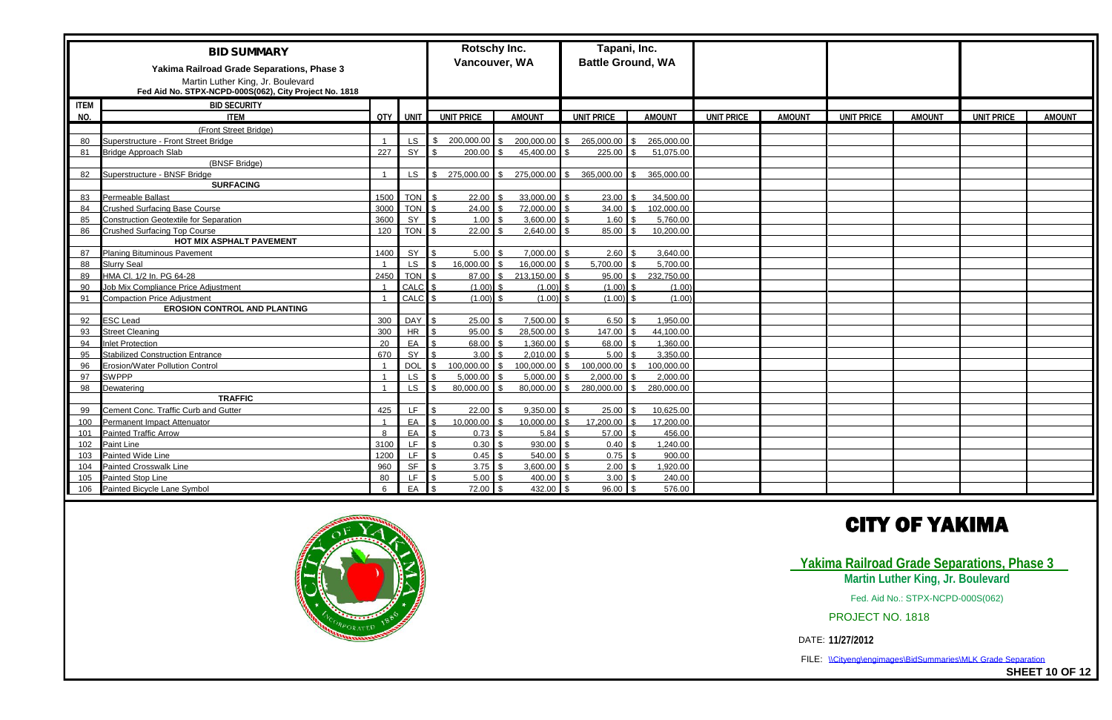|             | <b>BID SUMMARY</b><br>Yakima Railroad Grade Separations, Phase 3<br>Martin Luther King, Jr. Boulevard<br>Fed Aid No. STPX-NCPD-000S(062), City Project No. 1818 |       |                 | <b>Rotschy Inc.</b><br>Vancouver, WA |               |                                              | Tapani, Inc.<br><b>Battle Ground, WA</b> |                                    |                   |               |                   |               |
|-------------|-----------------------------------------------------------------------------------------------------------------------------------------------------------------|-------|-----------------|--------------------------------------|---------------|----------------------------------------------|------------------------------------------|------------------------------------|-------------------|---------------|-------------------|---------------|
| <b>ITEM</b> | <b>BID SECURITY</b>                                                                                                                                             |       |                 |                                      |               |                                              |                                          |                                    |                   |               |                   |               |
| NO.         | <b>ITEM</b>                                                                                                                                                     | QTY I | <b>UNIT</b>     | <b>UNIT PRICE</b>                    | <b>AMOUNT</b> | <b>UNIT PRICE</b>                            | <b>AMOUNT</b>                            | <b>UNIT PRICE</b><br><b>AMOUNT</b> | <b>UNIT PRICE</b> | <b>AMOUNT</b> | <b>UNIT PRICE</b> | <b>AMOUNT</b> |
|             | (Front Street Bridge)                                                                                                                                           |       |                 |                                      |               |                                              |                                          |                                    |                   |               |                   |               |
| 80          | Superstructure - Front Street Bridge                                                                                                                            |       | $LS$ $\sqrt{S}$ | $200,000.00$ \$                      |               | 200,000.00 \$ 265,000.00                     | 265,000.00                               |                                    |                   |               |                   |               |
| 81          | <b>Bridge Approach Slab</b>                                                                                                                                     | 227   | SY              | 200.00                               | 45,400.00     | 225.00                                       | 51,075.00                                |                                    |                   |               |                   |               |
|             | (BNSF Bridge)                                                                                                                                                   |       |                 |                                      |               |                                              |                                          |                                    |                   |               |                   |               |
| 82          | Superstructure - BNSF Bridge                                                                                                                                    |       |                 |                                      |               | LS \$ 275,000.00 \$ 275,000.00 \$ 365,000.00 | 365,000.00                               |                                    |                   |               |                   |               |
|             | <b>SURFACING</b>                                                                                                                                                |       |                 |                                      |               |                                              |                                          |                                    |                   |               |                   |               |
| 83          | Permeable Ballast                                                                                                                                               | 1500  | <b>TON</b>      | 22.00                                | 33,000.00     | 23.00                                        | 34.500.00                                |                                    |                   |               |                   |               |
| 84          | <b>Crushed Surfacing Base Course</b>                                                                                                                            | 3000  | <b>TON</b>      | 24.00                                | 72,000.00     | 34.00                                        | 102,000.00<br>$\mathbf{R}$               |                                    |                   |               |                   |               |
| 85          | <b>Construction Geotextile for Separation</b>                                                                                                                   | 3600  | SY              | 1.00                                 | 3,600.00      | 1.60                                         | 5,760.00                                 |                                    |                   |               |                   |               |
| 86          | <b>Crushed Surfacing Top Course</b>                                                                                                                             | 120   | <b>TON</b>      | 22.00                                | 2,640.00      | 85.00                                        | 10,200.00                                |                                    |                   |               |                   |               |
|             | <b>HOT MIX ASPHALT PAVEMENT</b>                                                                                                                                 |       |                 |                                      |               |                                              |                                          |                                    |                   |               |                   |               |
| 87          | <b>Planing Bituminous Pavement</b>                                                                                                                              | 1400  | SY              | 5.00                                 | 7,000.00      | 2.60                                         | 3,640.00                                 |                                    |                   |               |                   |               |
| 88          | <b>Slurry Seal</b>                                                                                                                                              |       | LS              | 16,000.00                            | 16,000.00     | 5,700.00                                     | 5,700.00                                 |                                    |                   |               |                   |               |
| 89          | HMA Cl. 1/2 In. PG 64-28                                                                                                                                        | 2450  | <b>TON</b>      | 87.00                                | 213,150.00    | 95.00                                        | 232,750.00                               |                                    |                   |               |                   |               |
| 90          | Job Mix Compliance Price Adjustment                                                                                                                             |       | CALC            | (1.00)                               | (1.00)        | (1.00)                                       | (1.00)                                   |                                    |                   |               |                   |               |
| 91          | <b>Compaction Price Adjustment</b>                                                                                                                              |       | CALC            | (1.00)                               | (1.00)        | (1.00)                                       | (1.00)                                   |                                    |                   |               |                   |               |
|             | <b>EROSION CONTROL AND PLANTING</b>                                                                                                                             |       |                 |                                      |               |                                              |                                          |                                    |                   |               |                   |               |
| 92          | <b>ESC Lead</b>                                                                                                                                                 | 300   | <b>DAY</b>      | 25.00                                | 7,500.00      | 6.50                                         | 1,950.00                                 |                                    |                   |               |                   |               |
| 93          | <b>Street Cleaning</b>                                                                                                                                          | 300   | <b>HR</b>       | 95.00                                | 28,500.00     | 147.00                                       | 44,100.00                                |                                    |                   |               |                   |               |
| 94          | <b>Inlet Protection</b>                                                                                                                                         | 20    | EA              | 68.00                                | 1,360.00      | 68.00                                        | 1.360.00                                 |                                    |                   |               |                   |               |
| 95          | <b>Stabilized Construction Entrance</b>                                                                                                                         | 670   | SY              | 3.00                                 | 2,010.00      | 5.00                                         | 3,350.00                                 |                                    |                   |               |                   |               |
| 96          | Erosion/Water Pollution Control                                                                                                                                 |       | DOL             | 100.000.00                           | 100,000.00    | 100.000.00                                   | 100.000.00                               |                                    |                   |               |                   |               |
| 97          | <b>SWPPP</b>                                                                                                                                                    |       | <b>LS</b>       | 5.000.00                             | 5,000.00      | 2.000.00                                     | 2.000.00                                 |                                    |                   |               |                   |               |
| 98          | Dewatering                                                                                                                                                      |       | LS.             | 80,000.00                            | - ፍ           | 80,000.00 \$ 280,000.00                      | 280,000.00<br>$\mathbb{R}$               |                                    |                   |               |                   |               |
|             | <b>TRAFFIC</b>                                                                                                                                                  |       |                 |                                      |               |                                              |                                          |                                    |                   |               |                   |               |
| 99          | Cement Conc. Traffic Curb and Gutter                                                                                                                            | 425   | LF.             | 22.00                                | 9,350.00      | 25.00                                        | 10,625.00                                |                                    |                   |               |                   |               |
| 100         | Permanent Impact Attenuator                                                                                                                                     |       | EA              | 10,000.00                            | 10,000.00     | 17,200.00<br>ደ                               | 17,200.00                                |                                    |                   |               |                   |               |
| 101         | <b>Painted Traffic Arrow</b>                                                                                                                                    |       | EA              | 0.73                                 | 5.84          | 57.00                                        | 456.00                                   |                                    |                   |               |                   |               |
| 102         | Paint Line                                                                                                                                                      | 3100  | LF.             | 0.30                                 | 930.00        | 0.40                                         | 1,240.00                                 |                                    |                   |               |                   |               |
| 103         | Painted Wide Line                                                                                                                                               | 1200  | LF.             | 0.45                                 | 540.00        | 0.75                                         | 900.00                                   |                                    |                   |               |                   |               |
| 104         | Painted Crosswalk Line                                                                                                                                          | 960   | <b>SF</b>       | 3.75                                 | 3,600.00      | 2.00                                         | 1,920.00                                 |                                    |                   |               |                   |               |
| 105         | Painted Stop Line                                                                                                                                               | 80    | LF.             | 5.00                                 | 400.00        | 3.00                                         | 240.00                                   |                                    |                   |               |                   |               |
| 106         | Painted Bicycle Lane Symbol                                                                                                                                     |       | <b>FA</b>       | 72.00                                | 432.00        | 96.00                                        | 576.00                                   |                                    |                   |               |                   |               |





FILE: \\Cityeng\engimages\BidSummaries\MLK Grade Separation

**SHEET 10 OF 12**

## **CITY OF YAKIMA**

### **Yakima Railroad Grade Separations, Phase 3 Martin Luther King, Jr. Boulevard**

Fed. Aid No.: STPX-NCPD-000S(062)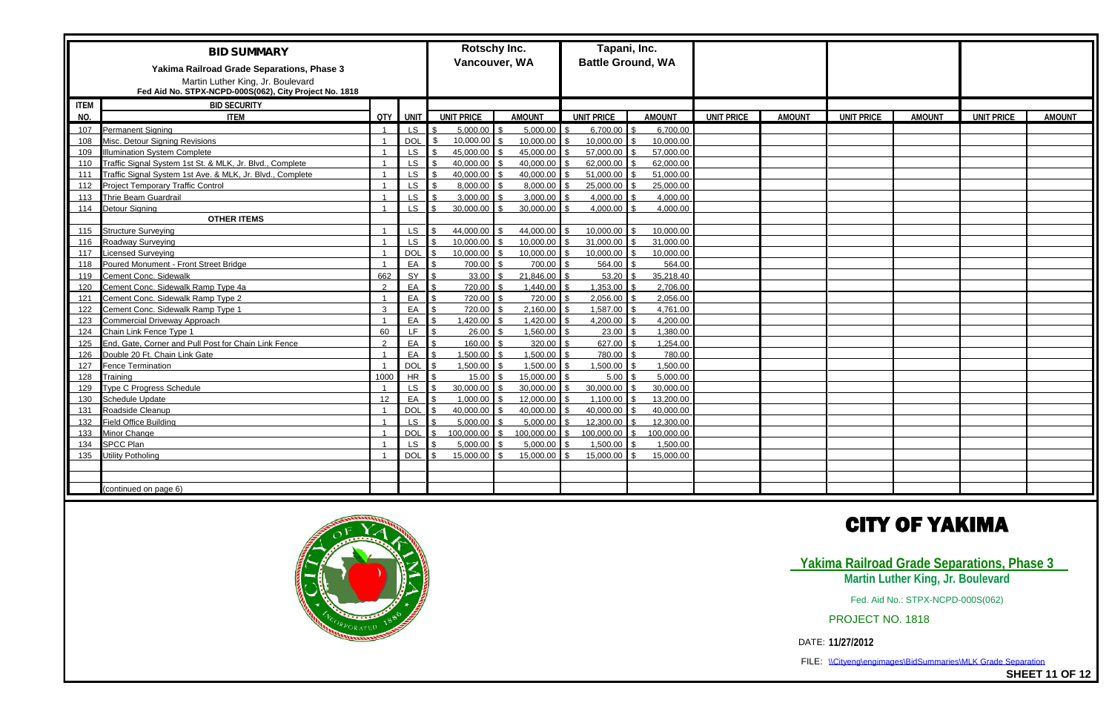|             | <b>BID SUMMARY</b><br>Yakima Railroad Grade Separations, Phase 3<br>Martin Luther King, Jr. Boulevard<br>Fed Aid No. STPX-NCPD-000S(062), City Project No. 1818 |                         |            | Rotschy Inc.<br>Vancouver, WA |               | Tapani, Inc.<br><b>Battle Ground, WA</b> |               |                   |               |                   |               |                   |               |
|-------------|-----------------------------------------------------------------------------------------------------------------------------------------------------------------|-------------------------|------------|-------------------------------|---------------|------------------------------------------|---------------|-------------------|---------------|-------------------|---------------|-------------------|---------------|
| <b>ITEM</b> | <b>BID SECURITY</b>                                                                                                                                             |                         |            |                               |               |                                          |               |                   |               |                   |               |                   |               |
| NO.         | <b>ITEM</b>                                                                                                                                                     | QTY I                   | <b>UNT</b> | <b>UNIT PRICE</b>             | <b>AMOUNT</b> | <b>UNIT PRICE</b>                        | <b>AMOUNT</b> | <b>UNIT PRICE</b> | <b>AMOUNT</b> | <b>UNIT PRICE</b> | <b>AMOUNT</b> | <b>UNIT PRICE</b> | <b>AMOUNT</b> |
| 107         | <b>Permanent Signing</b>                                                                                                                                        |                         | LS.        | 5,000.00                      | 5,000.00      | 6,700.00                                 | 6,700.00      |                   |               |                   |               |                   |               |
| 108         | Misc. Detour Signing Revisions                                                                                                                                  |                         | <b>DOL</b> | 10,000.00                     | 10,000.00     | 10,000.00                                | 10,000.00     |                   |               |                   |               |                   |               |
| 109         | <b>Ilumination System Complete</b>                                                                                                                              |                         | <b>LS</b>  | 45,000.00                     | 45,000.00     | 57,000.00                                | 57,000.00     |                   |               |                   |               |                   |               |
| 110         | Traffic Signal System 1st St. & MLK, Jr. Blvd., Complete                                                                                                        |                         | <b>LS</b>  | 40.000.00                     | 40.000.00     | 62,000.00                                | 62.000.00     |                   |               |                   |               |                   |               |
| 111         | Traffic Signal System 1st Ave. & MLK, Jr. Blvd., Complete                                                                                                       |                         | LS.        | 40,000.00                     | 40,000.00     | 51,000.00                                | 51,000.00     |                   |               |                   |               |                   |               |
| 112         | <b>Project Temporary Traffic Control</b>                                                                                                                        |                         | <b>LS</b>  | 8,000.00                      | 8,000.00      | 25,000.00                                | 25,000.00     |                   |               |                   |               |                   |               |
| 113         | <b>Thrie Beam Guardrail</b>                                                                                                                                     |                         | <b>LS</b>  | 3.000.00                      | 3,000.00      | 4,000.00                                 | 4.000.00      |                   |               |                   |               |                   |               |
| 114         | <b>Detour Signing</b>                                                                                                                                           |                         | <b>LS</b>  | 30,000.00                     | 30,000.00     | 4,000.00                                 | 4,000.00      |                   |               |                   |               |                   |               |
|             | <b>OTHER ITEMS</b>                                                                                                                                              |                         |            |                               |               |                                          |               |                   |               |                   |               |                   |               |
| 115         | <b>Structure Surveying</b>                                                                                                                                      |                         | <b>LS</b>  | 44,000.00                     | 44,000.00     | 10,000.00                                | 10.000.00     |                   |               |                   |               |                   |               |
| 116         | Roadway Surveying                                                                                                                                               |                         | LS         | 10,000.00                     | 10,000.00     | 31,000.00                                | 31,000.00     |                   |               |                   |               |                   |               |
| 117         | icensed Surveying                                                                                                                                               |                         | <b>DOL</b> | 10,000.00                     | 10,000.00     | 10,000.00                                | 10.000.00     |                   |               |                   |               |                   |               |
| 118         | Poured Monument - Front Street Bridge                                                                                                                           |                         | EA         | 700.00                        | 700.00        | 564.00                                   | 564.00        |                   |               |                   |               |                   |               |
| 119         | Cement Conc. Sidewalk                                                                                                                                           | 662                     | SY         | 33.00                         | 21,846.00     | 53.20                                    | 35,218.40     |                   |               |                   |               |                   |               |
| 120         | Cement Conc. Sidewalk Ramp Type 4a                                                                                                                              | $\mathcal{P}$           | EA         | 720.00                        | 1,440.00      | 1,353.00                                 | 2,706.00      |                   |               |                   |               |                   |               |
| 121         | Cement Conc. Sidewalk Ramp Type 2                                                                                                                               | - 1                     | EA         | 720.00                        | 720.00        | 2,056.00                                 | 2,056.00      |                   |               |                   |               |                   |               |
| 122         | Cement Conc. Sidewalk Ramp Type 1                                                                                                                               | ્ર                      | EA         | 720.00                        | 2,160.00      | 1,587.00                                 | 4,761.00      |                   |               |                   |               |                   |               |
| 123         | <b>Commercial Driveway Approach</b>                                                                                                                             |                         | EA         | 1,420.00                      | 1,420.00      | 4,200.00                                 | 4,200.00      |                   |               |                   |               |                   |               |
| 124         | Chain Link Fence Type 1                                                                                                                                         | 60                      | LF.        | 26.00                         | 1,560.00      | 23.00                                    | 1,380.00      |                   |               |                   |               |                   |               |
| 125         | End, Gate, Corner and Pull Post for Chain Link Fence                                                                                                            | ່າ                      | EA         | 160.00                        | 320.00        | 627.00                                   | 1.254.00      |                   |               |                   |               |                   |               |
| 126         | Double 20 Ft. Chain Link Gate                                                                                                                                   | $\overline{\mathbf{1}}$ | EA         | 1,500.00                      | 1,500.00      | 780.00                                   | 780.00        |                   |               |                   |               |                   |               |
| 127         | <b>Fence Termination</b>                                                                                                                                        |                         | DOL        | 1,500.00                      | 1,500.00      | 1.500.00                                 | 1,500.00      |                   |               |                   |               |                   |               |
| 128         | Training                                                                                                                                                        | 1000                    | <b>HR</b>  | 15.00                         | 15,000.00     | 5.00                                     | 5.000.00      |                   |               |                   |               |                   |               |
| 129         | Type C Progress Schedule                                                                                                                                        |                         | <b>LS</b>  | 30,000.00                     | 30,000.00     | 30,000.00                                | 30,000.00     |                   |               |                   |               |                   |               |
| 130         | Schedule Update                                                                                                                                                 | 12                      | EA         | 1,000.00                      | 12,000.00     | 1.100.00                                 | 13.200.00     |                   |               |                   |               |                   |               |
| 131         | Roadside Cleanup                                                                                                                                                |                         | <b>DOL</b> | 40,000.00                     | 40,000.00     | 40,000.00                                | 40.000.00     |                   |               |                   |               |                   |               |
| 132         | <b>Field Office Building</b>                                                                                                                                    |                         | <b>LS</b>  | 5.000.00                      | 5,000.00      | 12,300.00                                | 12.300.00     |                   |               |                   |               |                   |               |
| 133         | Minor Change                                                                                                                                                    |                         | <b>DOL</b> | 100,000.00                    | 100,000.00    | 100.000.00                               | 100.000.00    |                   |               |                   |               |                   |               |
| 134         | <b>SPCC Plan</b>                                                                                                                                                |                         | LS         | 5,000.00                      | 5,000.00      | 1,500.00                                 | 1,500.00      |                   |               |                   |               |                   |               |
| 135         | <b>Utility Potholing</b>                                                                                                                                        |                         | <b>DOL</b> | 15.000.00                     | 15,000.00     | 15.000.00                                | 15.000.00     |                   |               |                   |               |                   |               |
|             |                                                                                                                                                                 |                         |            |                               |               |                                          |               |                   |               |                   |               |                   |               |
|             |                                                                                                                                                                 |                         |            |                               |               |                                          |               |                   |               |                   |               |                   |               |
|             | (continued on page 6)                                                                                                                                           |                         |            |                               |               |                                          |               |                   |               |                   |               |                   |               |





FILE: \\Cityeng\engimages\BidSummaries\MLK Grade Separation

**SHEET 11 OF 12**

## **CITY OF YAKIMA**

### **Yakima Railroad Grade Separations, Phase 3 Martin Luther King, Jr. Boulevard**

Fed. Aid No.: STPX-NCPD-000S(062)